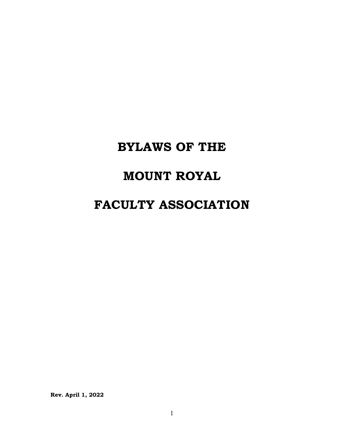# **BYLAWS OF THE**

## **MOUNT ROYAL**

## **FACULTY ASSOCIATION**

**Rev. April 1, 2022**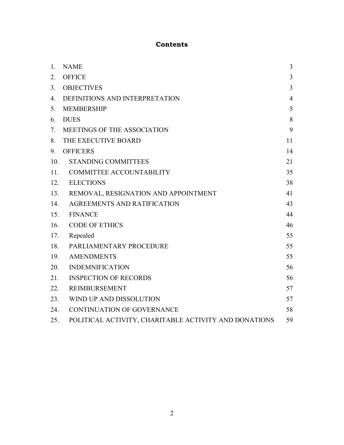## **Contents**

| 1.  | <b>NAME</b>                                           | $\overline{3}$ |
|-----|-------------------------------------------------------|----------------|
| 2.  | <b>OFFICE</b>                                         | $\overline{3}$ |
| 3.  | <b>OBJECTIVES</b>                                     | $\overline{3}$ |
| 4.  | DEFINITIONS AND INTERPRETATION                        | $\overline{4}$ |
| 5.  | <b>MEMBERSHIP</b>                                     | 5              |
| 6.  | <b>DUES</b>                                           | 8              |
| 7.  | MEETINGS OF THE ASSOCIATION                           | 9              |
| 8.  | THE EXECUTIVE BOARD                                   | 11             |
| 9.  | <b>OFFICERS</b>                                       | 14             |
| 10. | <b>STANDING COMMITTEES</b>                            | 21             |
| 11. | COMMITTEE ACCOUNTABILITY                              | 35             |
| 12. | <b>ELECTIONS</b>                                      | 38             |
| 13. | REMOVAL, RESIGNATION AND APPOINTMENT                  | 41             |
| 14. | AGREEMENTS AND RATIFICATION                           | 43             |
| 15. | <b>FINANCE</b>                                        | 44             |
| 16. | <b>CODE OF ETHICS</b>                                 | 46             |
| 17. | Repealed                                              | 55             |
| 18. | PARLIAMENTARY PROCEDURE                               | 55             |
| 19. | <b>AMENDMENTS</b>                                     | 55             |
| 20. | <b>INDEMNIFICATION</b>                                | 56             |
| 21. | <b>INSPECTION OF RECORDS</b>                          | 56             |
| 22. | <b>REIMBURSEMENT</b>                                  | 57             |
| 23. | WIND UP AND DISSOLUTION                               | 57             |
| 24. | <b>CONTINUATION OF GOVERNANCE</b>                     | 58             |
| 25. | POLITICAL ACTIVITY, CHARITABLE ACTIVITY AND DONATIONS | 59             |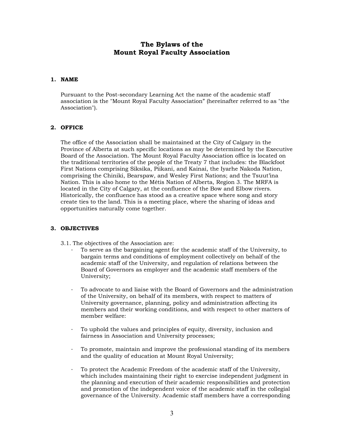## **The Bylaws of the Mount Royal Faculty Association**

## <span id="page-2-0"></span>**1. NAME**

Pursuant to the Post-secondary Learning Act the name of the academic staff association is the "Mount Royal Faculty Association" (hereinafter referred to as "the Association").

## <span id="page-2-1"></span>**2. OFFICE**

The office of the Association shall be maintained at the City of Calgary in the Province of Alberta at such specific locations as may be determined by the Executive Board of the Association. The Mount Royal Faculty Association office is located on the traditional territories of the people of the Treaty 7 that includes: the Blackfoot First Nations comprising Siksika, Piikani, and Kainai, the Iyarhe Nakoda Nation, comprising the Chiniki, Bearspaw, and Wesley First Nations; and the Tsuut'ina Nation. This is also home to the Métis Nation of Alberta, Region 3. The MRFA is located in the City of Calgary, at the confluence of the Bow and Elbow rivers. Historically, the confluence has stood as a creative space where song and story create ties to the land. This is a meeting place, where the sharing of ideas and opportunities naturally come together.

## <span id="page-2-2"></span>**3. OBJECTIVES**

- 3.1. The objectives of the Association are:
	- To serve as the bargaining agent for the academic staff of the University, to bargain terms and conditions of employment collectively on behalf of the academic staff of the University, and regulation of relations between the Board of Governors as employer and the academic staff members of the University;
	- ⋅ To advocate to and liaise with the Board of Governors and the administration of the University, on behalf of its members, with respect to matters of University governance, planning, policy and administration affecting its members and their working conditions, and with respect to other matters of member welfare:
	- ⋅ To uphold the values and principles of equity, diversity, inclusion and fairness in Association and University processes;
	- To promote, maintain and improve the professional standing of its members and the quality of education at Mount Royal University;
	- ⋅ To protect the Academic Freedom of the academic staff of the University, which includes maintaining their right to exercise independent judgment in the planning and execution of their academic responsibilities and protection and promotion of the independent voice of the academic staff in the collegial governance of the University. Academic staff members have a corresponding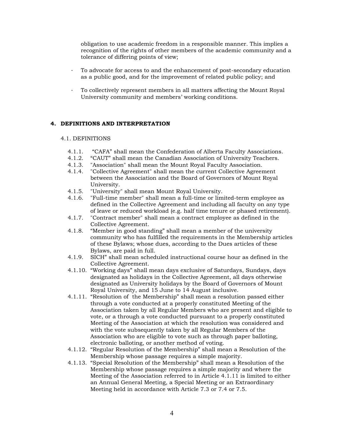obligation to use academic freedom in a responsible manner. This implies a recognition of the rights of other members of the academic community and a tolerance of differing points of view;

- To advocate for access to and the enhancement of post-secondary education as a public good, and for the improvement of related public policy; and
- ⋅ To collectively represent members in all matters affecting the Mount Royal University community and members' working conditions.

## <span id="page-3-0"></span>**4. DEFINITIONS AND INTERPRETATION**

#### 4.1. DEFINITIONS

- 4.1.1. "CAFA" shall mean the Confederation of Alberta Faculty Associations.<br>4.1.2. "CAUT" shall mean the Canadian Association of University Teachers.
- "CAUT" shall mean the Canadian Association of University Teachers.
- 4.1.3. "Association" shall mean the Mount Royal Faculty Association.
- 4.1.4. "Collective Agreement" shall mean the current Collective Agreement between the Association and the Board of Governors of Mount Royal University.
- 4.1.5. "University" shall mean Mount Royal University.
- 4.1.6. "Full-time member" shall mean a full-time or limited-term employee as defined in the Collective Agreement and including all faculty on any type of leave or reduced workload (e.g. half time tenure or phased retirement).
- 4.1.7. "Contract member" shall mean a contract employee as defined in the Collective Agreement.
- 4.1.8. "Member in good standing" shall mean a member of the university community who has fulfilled the requirements in the Membership articles of these Bylaws; whose dues, according to the Dues articles of these Bylaws, are paid in full.
- 4.1.9. SICH" shall mean scheduled instructional course hour as defined in the Collective Agreement.
- 4.1.10. "Working days" shall mean days exclusive of Saturdays, Sundays, days designated as holidays in the Collective Agreement, all days otherwise designated as University holidays by the Board of Governors of Mount Royal University, and 15 June to 14 August inclusive.
- 4.1.11. "Resolution of the Membership" shall mean a resolution passed either through a vote conducted at a properly constituted Meeting of the Association taken by all Regular Members who are present and eligible to vote, or a through a vote conducted pursuant to a properly constituted Meeting of the Association at which the resolution was considered and with the vote subsequently taken by all Regular Members of the Association who are eligible to vote such as through paper balloting, electronic balloting, or another method of voting.
- 4.1.12. "Regular Resolution of the Membership" shall mean a Resolution of the Membership whose passage requires a simple majority.
- 4.1.13. "Special Resolution of the Membership" shall mean a Resolution of the Membership whose passage requires a simple majority and where the Meeting of the Association referred to in Article 4.1.11 is limited to either an Annual General Meeting, a Special Meeting or an Extraordinary Meeting held in accordance with Article 7.3 or 7.4 or 7.5.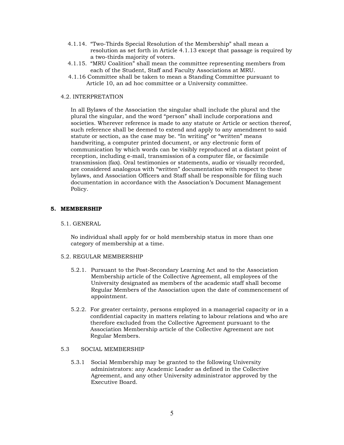- 4.1.14. "Two-Thirds Special Resolution of the Membership" shall mean a resolution as set forth in Article 4.1.13 except that passage is required by a two-thirds majority of voters.
- 4.1.15. "MRU Coalition" shall mean the committee representing members from each of the Student, Staff and Faculty Associations at MRU.
- 4.1.16 Committee shall be taken to mean a Standing Committee pursuant to Article 10, an ad hoc committee or a University committee.

#### 4.2. INTERPRETATION

In all Bylaws of the Association the singular shall include the plural and the plural the singular, and the word "person" shall include corporations and societies. Wherever reference is made to any statute or Article or section thereof, such reference shall be deemed to extend and apply to any amendment to said statute or section, as the case may be. "In writing" or "written" means handwriting, a computer printed document, or any electronic form of communication by which words can be visibly reproduced at a distant point of reception, including e-mail, transmission of a computer file, or facsimile transmission (fax). Oral testimonies or statements, audio or visually recorded, are considered analogous with "written" documentation with respect to these bylaws, and Association Officers and Staff shall be responsible for filing such documentation in accordance with the Association's Document Management Policy.

#### <span id="page-4-0"></span>**5. MEMBERSHIP**

#### 5.1. GENERAL

No individual shall apply for or hold membership status in more than one category of membership at a time.

#### 5.2. REGULAR MEMBERSHIP

- 5.2.1. Pursuant to the Post-Secondary Learning Act and to the Association Membership article of the Collective Agreement, all employees of the University designated as members of the academic staff shall become Regular Members of the Association upon the date of commencement of appointment.
- 5.2.2. For greater certainty, persons employed in a managerial capacity or in a confidential capacity in matters relating to labour relations and who are therefore excluded from the Collective Agreement pursuant to the Association Membership article of the Collective Agreement are not Regular Members.

## 5.3 SOCIAL MEMBERSHIP

5.3.1 Social Membership may be granted to the following University administrators: any Academic Leader as defined in the Collective Agreement, and any other University administrator approved by the Executive Board.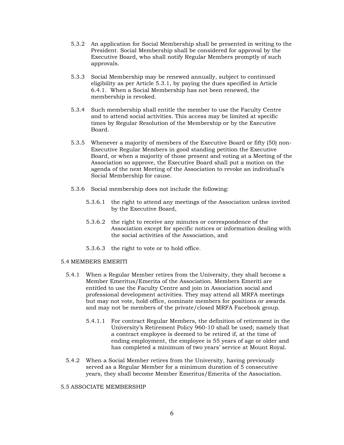- 5.3.2 An application for Social Membership shall be presented in writing to the President. Social Membership shall be considered for approval by the Executive Board, who shall notify Regular Members promptly of such approvals.
- 5.3.3 Social Membership may be renewed annually, subject to continued eligibility as per Article 5.3.1, by paying the dues specified in Article 6.4.1. When a Social Membership has not been renewed, the membership is revoked.
- 5.3.4 Such membership shall entitle the member to use the Faculty Centre and to attend social activities. This access may be limited at specific times by Regular Resolution of the Membership or by the Executive Board.
- 5.3.5 Whenever a majority of members of the Executive Board or fifty (50) non-Executive Regular Members in good standing petition the Executive Board, or when a majority of those present and voting at a Meeting of the Association so approve, the Executive Board shall put a motion on the agenda of the next Meeting of the Association to revoke an individual's Social Membership for cause.
- 5.3.6 Social membership does not include the following:
	- 5.3.6.1 the right to attend any meetings of the Association unless invited by the Executive Board,
	- 5.3.6.2 the right to receive any minutes or correspondence of the Association except for specific notices or information dealing with the social activities of the Association, and
	- 5.3.6.3 the right to vote or to hold office.

#### 5.4 MEMBERS EMERITI

- 5.4.1 When a Regular Member retires from the University, they shall become a Member Emeritus/Emerita of the Association. Members Emeriti are entitled to use the Faculty Centre and join in Association social and professional development activities. They may attend all MRFA meetings but may not vote, hold office, nominate members for positions or awards and may not be members of the private/closed MRFA Facebook group.
	- 5.4.1.1 For contract Regular Members, the definition of retirement in the University's Retirement Policy 960-10 shall be used; namely that a contract employee is deemed to be retired if, at the time of ending employment, the employee is 55 years of age or older and has completed a minimum of two years' service at Mount Royal.
- 5.4.2 When a Social Member retires from the University, having previously served as a Regular Member for a minimum duration of 5 consecutive years, they shall become Member Emeritus/Emerita of the Association.

#### 5.5 ASSOCIATE MEMBERSHIP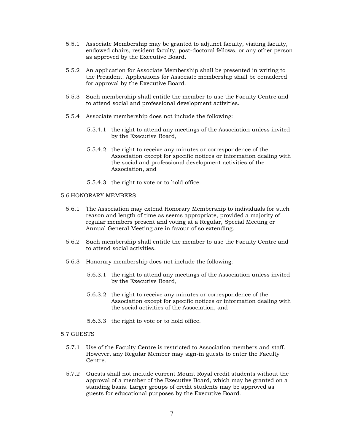- 5.5.1 Associate Membership may be granted to adjunct faculty, visiting faculty, endowed chairs, resident faculty, post-doctoral fellows, or any other person as approved by the Executive Board.
- 5.5.2 An application for Associate Membership shall be presented in writing to the President. Applications for Associate membership shall be considered for approval by the Executive Board.
- 5.5.3 Such membership shall entitle the member to use the Faculty Centre and to attend social and professional development activities.
- 5.5.4 Associate membership does not include the following:
	- 5.5.4.1 the right to attend any meetings of the Association unless invited by the Executive Board,
	- 5.5.4.2 the right to receive any minutes or correspondence of the Association except for specific notices or information dealing with the social and professional development activities of the Association, and
	- 5.5.4.3 the right to vote or to hold office.

#### 5.6 HONORARY MEMBERS

- 5.6.1 The Association may extend Honorary Membership to individuals for such reason and length of time as seems appropriate, provided a majority of regular members present and voting at a Regular, Special Meeting or Annual General Meeting are in favour of so extending.
- 5.6.2 Such membership shall entitle the member to use the Faculty Centre and to attend social activities.
- 5.6.3 Honorary membership does not include the following:
	- 5.6.3.1 the right to attend any meetings of the Association unless invited by the Executive Board,
	- 5.6.3.2 the right to receive any minutes or correspondence of the Association except for specific notices or information dealing with the social activities of the Association, and
	- 5.6.3.3 the right to vote or to hold office.

#### 5.7 GUESTS

- 5.7.1 Use of the Faculty Centre is restricted to Association members and staff. However, any Regular Member may sign-in guests to enter the Faculty Centre.
- 5.7.2 Guests shall not include current Mount Royal credit students without the approval of a member of the Executive Board, which may be granted on a standing basis. Larger groups of credit students may be approved as guests for educational purposes by the Executive Board.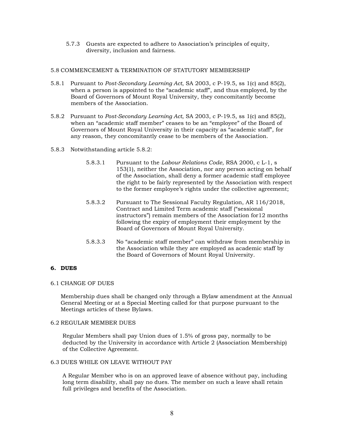5.7.3 Guests are expected to adhere to Association's principles of equity, diversity, inclusion and fairness.

#### 5.8 COMMENCEMENT & TERMINATION OF STATUTORY MEMBERSHIP

- 5.8.1 Pursuant to *Post-Secondary Learning Act*, SA 2003, c P-19.5, ss 1(c) and 85(2), when a person is appointed to the "academic staff", and thus employed, by the Board of Governors of Mount Royal University, they concomitantly become members of the Association.
- 5.8.2 Pursuant to *Post-Secondary Learning Act*, SA 2003, c P-19.5, ss 1(c) and 85(2), when an "academic staff member" ceases to be an "employee" of the Board of Governors of Mount Royal University in their capacity as "academic staff", for any reason, they concomitantly cease to be members of the Association.
- 5.8.3 Notwithstanding article 5.8.2:
	- 5.8.3.1 Pursuant to the *Labour Relations Code*, RSA 2000, c L-1, s 153(1), neither the Association, nor any person acting on behalf of the Association, shall deny a former academic staff employee the right to be fairly represented by the Association with respect to the former employee's rights under the collective agreement;
	- 5.8.3.2 Pursuant to The Sessional Faculty Regulation, AR 116/2018, Contract and Limited Term academic staff ("sessional instructors") remain members of the Association for12 months following the expiry of employment their employment by the Board of Governors of Mount Royal University.
	- 5.8.3.3 No "academic staff member" can withdraw from membership in the Association while they are employed as academic staff by the Board of Governors of Mount Royal University.

## <span id="page-7-0"></span>**6. DUES**

## 6.1 CHANGE OF DUES

Membership dues shall be changed only through a Bylaw amendment at the Annual General Meeting or at a Special Meeting called for that purpose pursuant to the Meetings articles of these Bylaws.

#### 6.2 REGULAR MEMBER DUES

Regular Members shall pay Union dues of 1.5% of gross pay, normally to be deducted by the University in accordance with Article 2 (Association Membership) of the Collective Agreement.

#### 6.3 DUES WHILE ON LEAVE WITHOUT PAY

A Regular Member who is on an approved leave of absence without pay, including long term disability, shall pay no dues. The member on such a leave shall retain full privileges and benefits of the Association.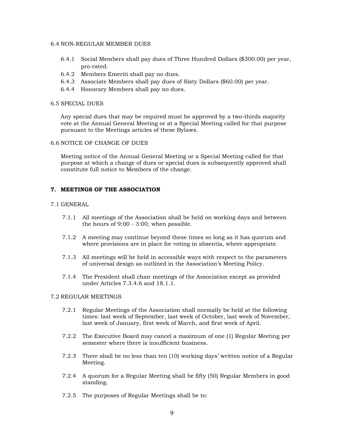#### 6.4 NON-REGULAR MEMBER DUES

- 6.4.1 Social Members shall pay dues of Three Hundred Dollars (\$300.00) per year, pro-rated.
- 6.4.2 Members Emeriti shall pay no dues.
- 6.4.3 Associate Members shall pay dues of Sixty Dollars (\$60.00) per year.
- 6.4.4 Honorary Members shall pay no dues.

#### 6.5 SPECIAL DUES

Any special dues that may be required must be approved by a two-thirds majority vote at the Annual General Meeting or at a Special Meeting called for that purpose pursuant to the Meetings articles of these Bylaws.

## 6.6 NOTICE OF CHANGE OF DUES

Meeting notice of the Annual General Meeting or a Special Meeting called for that purpose at which a change of dues or special dues is subsequently approved shall constitute full notice to Members of the change.

## <span id="page-8-0"></span>**7. MEETINGS OF THE ASSOCIATION**

## 7.1 GENERAL

- 7.1.1 All meetings of the Association shall be held on working days and between the hours of 9:00 - 3:00, when possible.
- 7.1.2 A meeting may continue beyond these times so long as it has quorum and where provisions are in place for voting in absentia, where appropriate.
- 7.1.3 All meetings will be held in accessible ways with respect to the parameters of universal design as outlined in the Association's Meeting Policy.
- 7.1.4 The President shall chair meetings of the Association except as provided under Articles 7.3.4.6 and 18.1.1.

#### 7.2 REGULAR MEETINGS

- 7.2.1 Regular Meetings of the Association shall normally be held at the following times: last week of September, last week of October, last week of November, last week of January, first week of March, and first week of April.
- 7.2.2 The Executive Board may cancel a maximum of one (1) Regular Meeting per semester where there is insufficient business.
- 7.2.3 There shall be no less than ten (10) working days' written notice of a Regular Meeting.
- 7.2.4 A quorum for a Regular Meeting shall be fifty (50) Regular Members in good standing.
- 7.2.5 The purposes of Regular Meetings shall be to: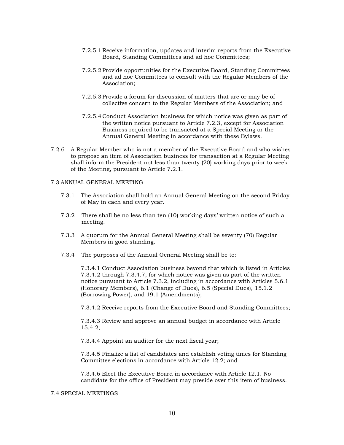- 7.2.5.1 Receive information, updates and interim reports from the Executive Board, Standing Committees and ad hoc Committees;
- 7.2.5.2 Provide opportunities for the Executive Board, Standing Committees and ad hoc Committees to consult with the Regular Members of the Association;
- 7.2.5.3 Provide a forum for discussion of matters that are or may be of collective concern to the Regular Members of the Association; and
- 7.2.5.4 Conduct Association business for which notice was given as part of the written notice pursuant to Article 7.2.3, except for Association Business required to be transacted at a Special Meeting or the Annual General Meeting in accordance with these Bylaws.
- 7.2.6 A Regular Member who is not a member of the Executive Board and who wishes to propose an item of Association business for transaction at a Regular Meeting shall inform the President not less than twenty (20) working days prior to week of the Meeting, pursuant to Article 7.2.1.

#### 7.3 ANNUAL GENERAL MEETING

- 7.3.1 The Association shall hold an Annual General Meeting on the second Friday of May in each and every year.
- 7.3.2 There shall be no less than ten (10) working days' written notice of such a meeting.
- 7.3.3 A quorum for the Annual General Meeting shall be seventy (70) Regular Members in good standing.
- 7.3.4 The purposes of the Annual General Meeting shall be to:

7.3.4.1 Conduct Association business beyond that which is listed in Articles 7.3.4.2 through 7.3.4.7, for which notice was given as part of the written notice pursuant to Article 7.3.2, including in accordance with Articles 5.6.1 (Honorary Members), 6.1 (Change of Dues), 6.5 (Special Dues), 15.1.2 (Borrowing Power), and 19.1 (Amendments);

7.3.4.2 Receive reports from the Executive Board and Standing Committees;

7.3.4.3 Review and approve an annual budget in accordance with Article 15.4.2;

7.3.4.4 Appoint an auditor for the next fiscal year;

7.3.4.5 Finalize a list of candidates and establish voting times for Standing Committee elections in accordance with Article 12.2; and

7.3.4.6 Elect the Executive Board in accordance with Article 12.1. No candidate for the office of President may preside over this item of business.

#### 7.4 SPECIAL MEETINGS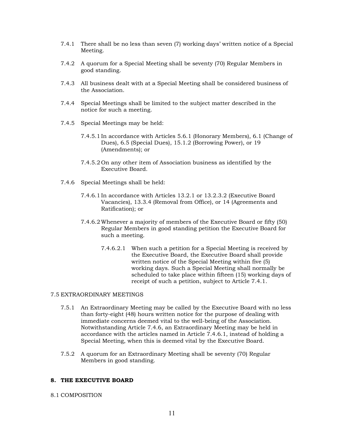- 7.4.1 There shall be no less than seven (7) working days' written notice of a Special Meeting.
- 7.4.2 A quorum for a Special Meeting shall be seventy (70) Regular Members in good standing.
- 7.4.3 All business dealt with at a Special Meeting shall be considered business of the Association.
- 7.4.4 Special Meetings shall be limited to the subject matter described in the notice for such a meeting.
- 7.4.5 Special Meetings may be held:
	- 7.4.5.1 In accordance with Articles 5.6.1 (Honorary Members), 6.1 (Change of Dues), 6.5 (Special Dues), 15.1.2 (Borrowing Power), or 19 (Amendments); or
	- 7.4.5.2 On any other item of Association business as identified by the Executive Board.
- 7.4.6 Special Meetings shall be held:
	- 7.4.6.1 In accordance with Articles 13.2.1 or 13.2.3.2 (Executive Board Vacancies), 13.3.4 (Removal from Office), or 14 (Agreements and Ratification); or
	- 7.4.6.2 Whenever a majority of members of the Executive Board or fifty (50) Regular Members in good standing petition the Executive Board for such a meeting.
		- 7.4.6.2.1 When such a petition for a Special Meeting is received by the Executive Board, the Executive Board shall provide written notice of the Special Meeting within five (5) working days. Such a Special Meeting shall normally be scheduled to take place within fifteen (15) working days of receipt of such a petition, subject to Article 7.4.1.

#### 7.5 EXTRAORDINARY MEETINGS

- 7.5.1 An Extraordinary Meeting may be called by the Executive Board with no less than forty-eight (48) hours written notice for the purpose of dealing with immediate concerns deemed vital to the well-being of the Association. Notwithstanding Article 7.4.6, an Extraordinary Meeting may be held in accordance with the articles named in Article 7.4.6.1, instead of holding a Special Meeting, when this is deemed vital by the Executive Board.
- 7.5.2 A quorum for an Extraordinary Meeting shall be seventy (70) Regular Members in good standing.

#### <span id="page-10-0"></span>**8. THE EXECUTIVE BOARD**

8.1 COMPOSITION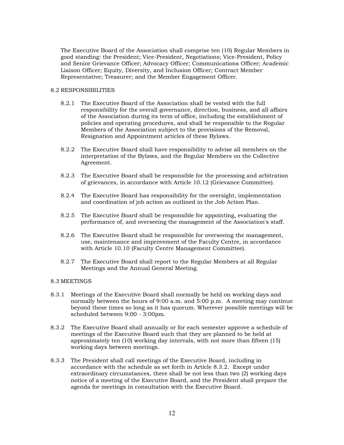The Executive Board of the Association shall comprise ten (10) Regular Members in good standing: the President; Vice-President, Negotiations; Vice-President, Policy and Senior Grievance Officer; Advocacy Officer; Communications Officer; Academic Liaison Officer; Equity, Diversity, and Inclusion Officer; Contract Member Representative; Treasurer; and the Member Engagement Officer.

## 8.2 RESPONSIBILITIES

- 8.2.1 The Executive Board of the Association shall be vested with the full responsibility for the overall governance, direction, business, and all affairs of the Association during its term of office, including the establishment of policies and operating procedures, and shall be responsible to the Regular Members of the Association subject to the provisions of the Removal, Resignation and Appointment articles of these Bylaws.
- 8.2.2 The Executive Board shall have responsibility to advise all members on the interpretation of the Bylaws, and the Regular Members on the Collective Agreement.
- 8.2.3 The Executive Board shall be responsible for the processing and arbitration of grievances, in accordance with Article 10.12 (Grievance Committee).
- 8.2.4 The Executive Board has responsibility for the oversight, implementation and coordination of job action as outlined in the Job Action Plan.
- 8.2.5 The Executive Board shall be responsible for appointing, evaluating the performance of, and overseeing the management of the Association's staff.
- 8.2.6 The Executive Board shall be responsible for overseeing the management, use, maintenance and improvement of the Faculty Centre, in accordance with Article 10.10 (Faculty Centre Management Committee).
- 8.2.7 The Executive Board shall report to the Regular Members at all Regular Meetings and the Annual General Meeting.

## 8.3 MEETINGS

- 8.3.1 Meetings of the Executive Board shall normally be held on working days and normally between the hours of 9:00 a.m. and 5:00 p.m. A meeting may continue beyond these times so long as it has quorum. Wherever possible meetings will be scheduled between 9:00 - 3:00pm.
- 8.3.2 The Executive Board shall annually or for each semester approve a schedule of meetings of the Executive Board such that they are planned to be held at approximately ten (10) working day intervals, with not more than fifteen (15) working days between meetings.
- 8.3.3 The President shall call meetings of the Executive Board, including in accordance with the schedule as set forth in Article 8.3.2. Except under extraordinary circumstances, there shall be not less than two (2) working days notice of a meeting of the Executive Board, and the President shall prepare the agenda for meetings in consultation with the Executive Board.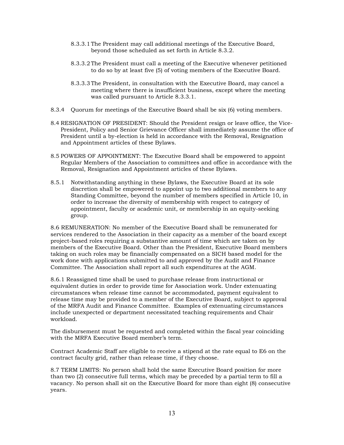- 8.3.3.1 The President may call additional meetings of the Executive Board, beyond those scheduled as set forth in Article 8.3.2.
- 8.3.3.2 The President must call a meeting of the Executive whenever petitioned to do so by at least five (5) of voting members of the Executive Board.
- 8.3.3.3 The President, in consultation with the Executive Board, may cancel a meeting where there is insufficient business, except where the meeting was called pursuant to Article 8.3.3.1.
- 8.3.4 Quorum for meetings of the Executive Board shall be six (6) voting members.
- 8.4 RESIGNATION OF PRESIDENT: Should the President resign or leave office, the Vice-President, Policy and Senior Grievance Officer shall immediately assume the office of President until a by-election is held in accordance with the Removal, Resignation and Appointment articles of these Bylaws.
- 8.5 POWERS OF APPOINTMENT: The Executive Board shall be empowered to appoint Regular Members of the Association to committees and office in accordance with the Removal, Resignation and Appointment articles of these Bylaws.
- 8.5.1 Notwithstanding anything in these Bylaws, the Executive Board at its sole discretion shall be empowered to appoint up to two additional members to any Standing Committee, beyond the number of members specified in Article 10, in order to increase the diversity of membership with respect to category of appointment, faculty or academic unit, or membership in an equity-seeking group.

8.6 REMUNERATION: No member of the Executive Board shall be remunerated for services rendered to the Association in their capacity as a member of the board except project-based roles requiring a substantive amount of time which are taken on by members of the Executive Board. Other than the President, Executive Board members taking on such roles may be financially compensated on a SICH based model for the work done with applications submitted to and approved by the Audit and Finance Committee. The Association shall report all such expenditures at the AGM.

8.6.1 Reassigned time shall be used to purchase release from instructional or equivalent duties in order to provide time for Association work. Under extenuating circumstances when release time cannot be accommodated, payment equivalent to release time may be provided to a member of the Executive Board, subject to approval of the MRFA Audit and Finance Committee. Examples of extenuating circumstances include unexpected or department necessitated teaching requirements and Chair workload.

The disbursement must be requested and completed within the fiscal year coinciding with the MRFA Executive Board member's term.

Contract Academic Staff are eligible to receive a stipend at the rate equal to E6 on the contract faculty grid, rather than release time, if they choose.

8.7 TERM LIMITS: No person shall hold the same Executive Board position for more than two (2) consecutive full terms, which may be preceded by a partial term to fill a vacancy. No person shall sit on the Executive Board for more than eight (8) consecutive years.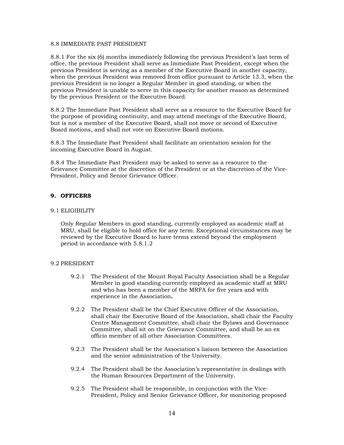#### 8.8 IMMEDIATE PAST PRESIDENT

8.8.1 For the six (6) months immediately following the previous President's last term of office, the previous President shall serve as Immediate Past President, except when the previous President is serving as a member of the Executive Board in another capacity, when the previous President was removed from office pursuant to Article 13.3, when the previous President is no longer a Regular Member in good standing, or when the previous President is unable to serve in this capacity for another reason as determined by the previous President or the Executive Board.

8.8.2 The Immediate Past President shall serve as a resource to the Executive Board for the purpose of providing continuity, and may attend meetings of the Executive Board, but is not a member of the Executive Board, shall not move or second of Executive Board motions, and shall not vote on Executive Board motions.

8.8.3 The Immediate Past President shall facilitate an orientation session for the incoming Executive Board in August.

8.8.4 The Immediate Past President may be asked to serve as a resource to the Grievance Committee at the discretion of the President or at the discretion of the Vice-President, Policy and Senior Grievance Officer.

## <span id="page-13-0"></span>**9. OFFICERS**

#### 9.1 ELIGIBILITY

Only Regular Members in good standing, currently employed as academic staff at MRU, shall be eligible to hold office for any term. Exceptional circumstances may be reviewed by the Executive Board to have terms extend beyond the employment period in accordance with 5.8.1.2

## 9.2 PRESIDENT

- 9.2.1 The President of the Mount Royal Faculty Association shall be a Regular Member in good standing currently employed as academic staff at MRU and who has been a member of the MRFA for five years and with experience in the Association**.**
- 9.2.2 The President shall be the Chief Executive Officer of the Association, shall chair the Executive Board of the Association, shall chair the Faculty Centre Management Committee, shall chair the Bylaws and Governance Committee, shall sit on the Grievance Committee, and shall be an ex officio member of all other Association Committees.
- 9.2.3 The President shall be the Association's liaison between the Association and the senior administration of the University.
- 9.2.4 The President shall be the Association's representative in dealings with the Human Resources Department of the University.
- 9.2.5 The President shall be responsible, in conjunction with the Vice-President, Policy and Senior Grievance Officer, for monitoring proposed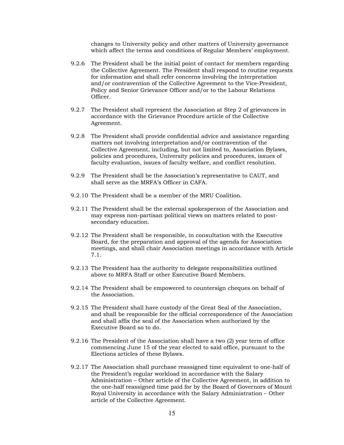changes to University policy and other matters of University governance which affect the terms and conditions of Regular Members' employment.

- 9.2.6 The President shall be the initial point of contact for members regarding the Collective Agreement. The President shall respond to routine requests for information and shall refer concerns involving the interpretation and/or contravention of the Collective Agreement to the Vice-President, Policy and Senior Grievance Officer and/or to the Labour Relations Officer.
- 9.2.7 The President shall represent the Association at Step 2 of grievances in accordance with the Grievance Procedure article of the Collective Agreement.
- 9.2.8 The President shall provide confidential advice and assistance regarding matters not involving interpretation and/or contravention of the Collective Agreement, including, but not limited to, Association Bylaws, policies and procedures, University policies and procedures, issues of faculty evaluation, issues of faculty welfare, and conflict resolution.
- 9.2.9 The President shall be the Association's representative to CAUT, and shall serve as the MRFA's Officer in CAFA.
- 9.2.10 The President shall be a member of the MRU Coalition.
- 9.2.11 The President shall be the external spokesperson of the Association and may express non-partisan political views on matters related to postsecondary education.
- 9.2.12 The President shall be responsible, in consultation with the Executive Board, for the preparation and approval of the agenda for Association meetings, and shall chair Association meetings in accordance with Article 7.1.
- 9.2.13 The President has the authority to delegate responsibilities outlined above to MRFA Staff or other Executive Board Members.
- 9.2.14 The President shall be empowered to countersign cheques on behalf of the Association.
- 9.2.15 The President shall have custody of the Great Seal of the Association, and shall be responsible for the official correspondence of the Association and shall affix the seal of the Association when authorized by the Executive Board so to do.
- 9.2.16 The President of the Association shall have a two (2) year term of office commencing June 15 of the year elected to said office, pursuant to the Elections articles of these Bylaws.
- 9.2.17 The Association shall purchase reassigned time equivalent to one-half of the President's regular workload in accordance with the Salary Administration – Other article of the Collective Agreement, in addition to the one-half reassigned time paid for by the Board of Governors of Mount Royal University in accordance with the Salary Administration – Other article of the Collective Agreement.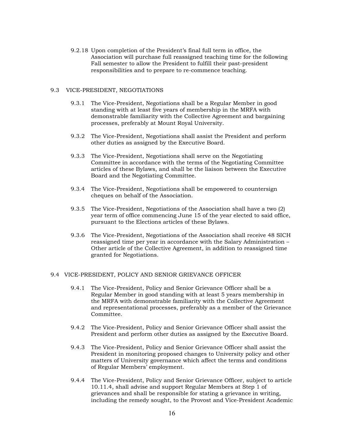9.2.18 Upon completion of the President's final full term in office, the Association will purchase full reassigned teaching time for the following Fall semester to allow the President to fulfill their past-president responsibilities and to prepare to re-commence teaching.

#### 9.3 VICE-PRESIDENT, NEGOTIATIONS

- 9.3.1 The Vice-President, Negotiations shall be a Regular Member in good standing with at least five years of membership in the MRFA with demonstrable familiarity with the Collective Agreement and bargaining processes, preferably at Mount Royal University.
- 9.3.2 The Vice-President, Negotiations shall assist the President and perform other duties as assigned by the Executive Board.
- 9.3.3 The Vice-President, Negotiations shall serve on the Negotiating Committee in accordance with the terms of the Negotiating Committee articles of these Bylaws, and shall be the liaison between the Executive Board and the Negotiating Committee.
- 9.3.4 The Vice-President, Negotiations shall be empowered to countersign cheques on behalf of the Association.
- 9.3.5 The Vice-President, Negotiations of the Association shall have a two (2) year term of office commencing June 15 of the year elected to said office, pursuant to the Elections articles of these Bylaws.
- 9.3.6 The Vice-President, Negotiations of the Association shall receive 48 SICH reassigned time per year in accordance with the Salary Administration – Other article of the Collective Agreement, in addition to reassigned time granted for Negotiations.

## 9.4 VICE-PRESIDENT, POLICY AND SENIOR GRIEVANCE OFFICER

- 9.4.1 The Vice-President, Policy and Senior Grievance Officer shall be a Regular Member in good standing with at least 5 years membership in the MRFA with demonstrable familiarity with the Collective Agreement and representational processes, preferably as a member of the Grievance Committee.
- 9.4.2 The Vice-President, Policy and Senior Grievance Officer shall assist the President and perform other duties as assigned by the Executive Board.
- 9.4.3 The Vice-President, Policy and Senior Grievance Officer shall assist the President in monitoring proposed changes to University policy and other matters of University governance which affect the terms and conditions of Regular Members' employment.
- 9.4.4 The Vice-President, Policy and Senior Grievance Officer, subject to article 10.11.4, shall advise and support Regular Members at Step 1 of grievances and shall be responsible for stating a grievance in writing, including the remedy sought, to the Provost and Vice-President Academic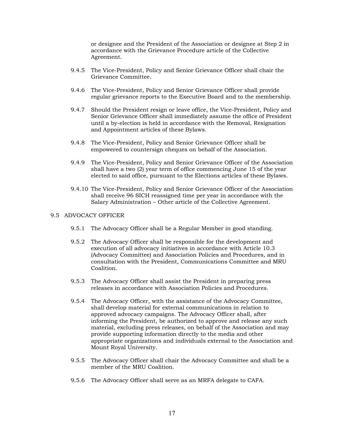or designee and the President of the Association or designee at Step 2 in accordance with the Grievance Procedure article of the Collective Agreement.

- 9.4.5 The Vice-President, Policy and Senior Grievance Officer shall chair the Grievance Committee.
- 9.4.6 The Vice-President, Policy and Senior Grievance Officer shall provide regular grievance reports to the Executive Board and to the membership.
- 9.4.7 Should the President resign or leave office, the Vice-President, Policy and Senior Grievance Officer shall immediately assume the office of President until a by-election is held in accordance with the Removal, Resignation and Appointment articles of these Bylaws.
- 9.4.8 The Vice-President, Policy and Senior Grievance Officer shall be empowered to countersign cheques on behalf of the Association.
- 9.4.9 The Vice-President, Policy and Senior Grievance Officer of the Association shall have a two (2) year term of office commencing June 15 of the year elected to said office, pursuant to the Elections articles of these Bylaws.
- 9.4.10 The Vice-President, Policy and Senior Grievance Officer of the Association shall receive 96 SICH reassigned time per year in accordance with the Salary Administration – Other article of the Collective Agreement.

#### 9.5 ADVOCACY OFFICER

- 9.5.1 The Advocacy Officer shall be a Regular Member in good standing.
- 9.5.2 The Advocacy Officer shall be responsible for the development and execution of all advocacy initiatives in accordance with Article 10.3 (Advocacy Committee) and Association Policies and Procedures, and in consultation with the President, Communications Committee and MRU Coalition.
- 9.5.3 The Advocacy Officer shall assist the President in preparing press releases in accordance with Association Policies and Procedures.
- 9.5.4 The Advocacy Officer, with the assistance of the Advocacy Committee, shall develop material for external communications in relation to approved advocacy campaigns. The Advocacy Officer shall, after informing the President, be authorized to approve and release any such material, excluding press releases, on behalf of the Association and may provide supporting information directly to the media and other appropriate organizations and individuals external to the Association and Mount Royal University.
- 9.5.5 The Advocacy Officer shall chair the Advocacy Committee and shall be a member of the MRU Coalition.
- 9.5.6 The Advocacy Officer shall serve as an MRFA delegate to CAFA.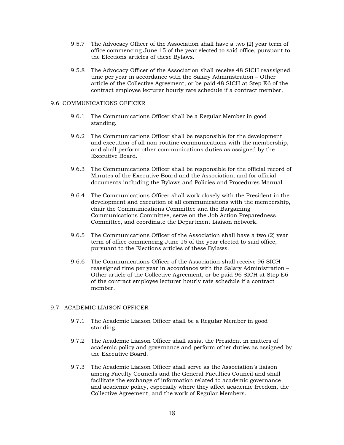- 9.5.7 The Advocacy Officer of the Association shall have a two (2) year term of office commencing June 15 of the year elected to said office, pursuant to the Elections articles of these Bylaws.
- 9.5.8 The Advocacy Officer of the Association shall receive 48 SICH reassigned time per year in accordance with the Salary Administration – Other article of the Collective Agreement, or be paid 48 SICH at Step E6 of the contract employee lecturer hourly rate schedule if a contract member.

#### 9.6 COMMUNICATIONS OFFICER

- 9.6.1 The Communications Officer shall be a Regular Member in good standing.
- 9.6.2 The Communications Officer shall be responsible for the development and execution of all non-routine communications with the membership, and shall perform other communications duties as assigned by the Executive Board.
- 9.6.3 The Communications Officer shall be responsible for the official record of Minutes of the Executive Board and the Association, and for official documents including the Bylaws and Policies and Procedures Manual.
- 9.6.4 The Communications Officer shall work closely with the President in the development and execution of all communications with the membership, chair the Communications Committee and the Bargaining Communications Committee, serve on the Job Action Preparedness Committee, and coordinate the Department Liaison network.
- 9.6.5 The Communications Officer of the Association shall have a two (2) year term of office commencing June 15 of the year elected to said office, pursuant to the Elections articles of these Bylaws.
- 9.6.6 The Communications Officer of the Association shall receive 96 SICH reassigned time per year in accordance with the Salary Administration – Other article of the Collective Agreement, or be paid 96 SICH at Step E6 of the contract employee lecturer hourly rate schedule if a contract member.

## 9.7 ACADEMIC LIAISON OFFICER

- 9.7.1 The Academic Liaison Officer shall be a Regular Member in good standing.
- 9.7.2 The Academic Liaison Officer shall assist the President in matters of academic policy and governance and perform other duties as assigned by the Executive Board.
- 9.7.3 The Academic Liaison Officer shall serve as the Association's liaison among Faculty Councils and the General Faculties Council and shall facilitate the exchange of information related to academic governance and academic policy, especially where they affect academic freedom, the Collective Agreement, and the work of Regular Members.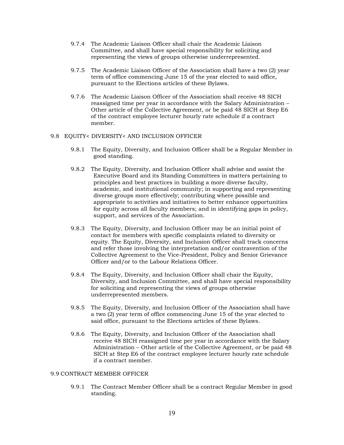- 9.7.4 The Academic Liaison Officer shall chair the Academic Liaison Committee, and shall have special responsibility for soliciting and representing the views of groups otherwise underrepresented.
- 9.7.5 The Academic Liaison Officer of the Association shall have a two (2) year term of office commencing June 15 of the year elected to said office, pursuant to the Elections articles of these Bylaws.
- 9.7.6 The Academic Liaison Officer of the Association shall receive 48 SICH reassigned time per year in accordance with the Salary Administration – Other article of the Collective Agreement, or be paid 48 SICH at Step E6 of the contract employee lecturer hourly rate schedule if a contract member.

#### 9.8 EQUITY< DIVERSITY< AND INCLUSION OFFICER

- 9.8.1 The Equity, Diversity, and Inclusion Officer shall be a Regular Member in good standing.
- 9.8.2 The Equity, Diversity, and Inclusion Officer shall advise and assist the Executive Board and its Standing Committees in matters pertaining to principles and best practices in building a more diverse faculty, academic, and institutional community; in supporting and representing diverse groups more effectively; contributing where possible and appropriate to activities and initiatives to better enhance opportunities for equity across all faculty members; and in identifying gaps in policy, support, and services of the Association.
- 9.8.3 The Equity, Diversity, and Inclusion Officer may be an initial point of contact for members with specific complaints related to diversity or equity. The Equity, Diversity, and Inclusion Officer shall track concerns and refer those involving the interpretation and/or contravention of the Collective Agreement to the Vice-President, Policy and Senior Grievance Officer and/or to the Labour Relations Officer.
- 9.8.4 The Equity, Diversity, and Inclusion Officer shall chair the Equity, Diversity, and Inclusion Committee, and shall have special responsibility for soliciting and representing the views of groups otherwise underrepresented members.
- 9.8.5 The Equity, Diversity, and Inclusion Officer of the Association shall have a two (2) year term of office commencing June 15 of the year elected to said office, pursuant to the Elections articles of these Bylaws.
- 9.8.6 The Equity, Diversity, and Inclusion Officer of the Association shall receive 48 SICH reassigned time per year in accordance with the Salary Administration – Other article of the Collective Agreement, or be paid 48 SICH at Step E6 of the contract employee lecturer hourly rate schedule if a contract member.

#### 9.9 CONTRACT MEMBER OFFICER

9.9.1 The Contract Member Officer shall be a contract Regular Member in good standing.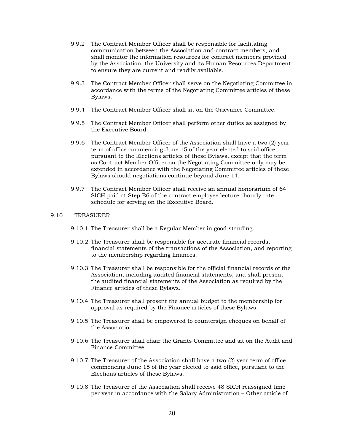- 9.9.2 The Contract Member Officer shall be responsible for facilitating communication between the Association and contract members, and shall monitor the information resources for contract members provided by the Association, the University and its Human Resources Department to ensure they are current and readily available.
- 9.9.3 The Contract Member Officer shall serve on the Negotiating Committee in accordance with the terms of the Negotiating Committee articles of these Bylaws.
- 9.9.4 The Contract Member Officer shall sit on the Grievance Committee.
- 9.9.5 The Contract Member Officer shall perform other duties as assigned by the Executive Board.
- 9.9.6 The Contract Member Officer of the Association shall have a two (2) year term of office commencing June 15 of the year elected to said office, pursuant to the Elections articles of these Bylaws, except that the term as Contract Member Officer on the Negotiating Committee only may be extended in accordance with the Negotiating Committee articles of these Bylaws should negotiations continue beyond June 14.
- 9.9.7 The Contract Member Officer shall receive an annual honorarium of 64 SICH paid at Step E6 of the contract employee lecturer hourly rate schedule for serving on the Executive Board.

#### 9.10 TREASURER

- 9.10.1 The Treasurer shall be a Regular Member in good standing.
- 9.10.2 The Treasurer shall be responsible for accurate financial records, financial statements of the transactions of the Association, and reporting to the membership regarding finances.
- 9.10.3 The Treasurer shall be responsible for the official financial records of the Association, including audited financial statements, and shall present the audited financial statements of the Association as required by the Finance articles of these Bylaws.
- 9.10.4 The Treasurer shall present the annual budget to the membership for approval as required by the Finance articles of these Bylaws.
- 9.10.5 The Treasurer shall be empowered to countersign cheques on behalf of the Association.
- 9.10.6 The Treasurer shall chair the Grants Committee and sit on the Audit and Finance Committee.
- 9.10.7 The Treasurer of the Association shall have a two (2) year term of office commencing June 15 of the year elected to said office, pursuant to the Elections articles of these Bylaws.
- 9.10.8 The Treasurer of the Association shall receive 48 SICH reassigned time per year in accordance with the Salary Administration – Other article of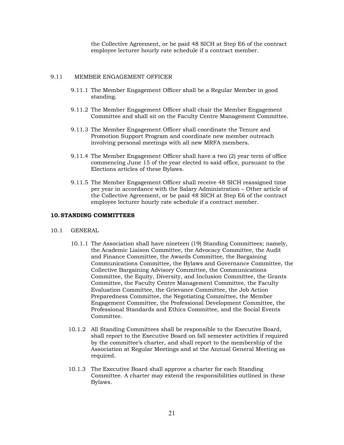the Collective Agreement, or be paid 48 SICH at Step E6 of the contract employee lecturer hourly rate schedule if a contract member.

### 9.11 MEMBER ENGAGEMENT OFFICER

- 9.11.1 The Member Engagement Officer shall be a Regular Member in good standing.
- 9.11.2 The Member Engagement Officer shall chair the Member Engagement Committee and shall sit on the Faculty Centre Management Committee.
- 9.11.3 The Member Engagement Officer shall coordinate the Tenure and Promotion Support Program and coordinate new member outreach involving personal meetings with all new MRFA members.
- 9.11.4 The Member Engagement Officer shall have a two (2) year term of office commencing June 15 of the year elected to said office, pursuant to the Elections articles of these Bylaws.
- 9.11.5 The Member Engagement Officer shall receive 48 SICH reassigned time per year in accordance with the Salary Administration – Other article of the Collective Agreement, or be paid 48 SICH at Step E6 of the contract employee lecturer hourly rate schedule if a contract member.

#### <span id="page-20-0"></span>**10.STANDING COMMITTEES**

- 10.1 GENERAL
	- 10.1.1 The Association shall have nineteen (19) Standing Committees; namely, the Academic Liaison Committee, the Advocacy Committee, the Audit and Finance Committee, the Awards Committee, the Bargaining Communications Committee, the Bylaws and Governance Committee, the Collective Bargaining Advisory Committee, the Communications Committee, the Equity, Diversity, and Inclusion Committee, the Grants Committee, the Faculty Centre Management Committee, the Faculty Evaluation Committee, the Grievance Committee, the Job Action Preparedness Committee, the Negotiating Committee, the Member Engagement Committee, the Professional Development Committee, the Professional Standards and Ethics Committee, and the Social Events Committee.
	- 10.1.2 All Standing Committees shall be responsible to the Executive Board, shall report to the Executive Board on fall semester activities if required by the committee's charter, and shall report to the membership of the Association at Regular Meetings and at the Annual General Meeting as required.
	- 10.1.3 The Executive Board shall approve a charter for each Standing Committee. A charter may extend the responsibilities outlined in these Bylaws.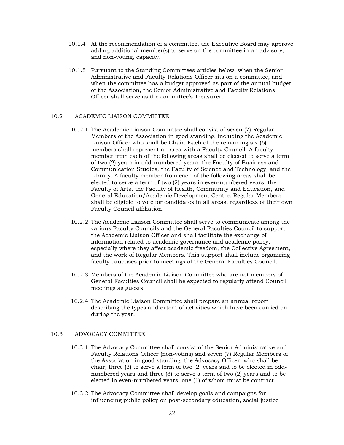- 10.1.4 At the recommendation of a committee, the Executive Board may approve adding additional member(s) to serve on the committee in an advisory, and non-voting, capacity.
- 10.1.5 Pursuant to the Standing Committees articles below, when the Senior Administrative and Faculty Relations Officer sits on a committee, and when the committee has a budget approved as part of the annual budget of the Association, the Senior Administrative and Faculty Relations Officer shall serve as the committee's Treasurer.

#### 10.2 ACADEMIC LIAISON COMMITTEE

- 10.2.1 The Academic Liaison Committee shall consist of seven (7) Regular Members of the Association in good standing, including the Academic Liaison Officer who shall be Chair. Each of the remaining six (6) members shall represent an area with a Faculty Council. A faculty member from each of the following areas shall be elected to serve a term of two (2) years in odd-numbered years: the Faculty of Business and Communication Studies, the Faculty of Science and Technology, and the Library. A faculty member from each of the following areas shall be elected to serve a term of two (2) years in even-numbered years: the Faculty of Arts, the Faculty of Health, Community and Education, and General Education/Academic Development Centre. Regular Members shall be eligible to vote for candidates in all areas, regardless of their own Faculty Council affiliation.
- 10.2.2 The Academic Liaison Committee shall serve to communicate among the various Faculty Councils and the General Faculties Council to support the Academic Liaison Officer and shall facilitate the exchange of information related to academic governance and academic policy, especially where they affect academic freedom, the Collective Agreement, and the work of Regular Members. This support shall include organizing faculty caucuses prior to meetings of the General Faculties Council.
- 10.2.3 Members of the Academic Liaison Committee who are not members of General Faculties Council shall be expected to regularly attend Council meetings as guests.
- 10.2.4 The Academic Liaison Committee shall prepare an annual report describing the types and extent of activities which have been carried on during the year.

#### 10.3 ADVOCACY COMMITTEE

- 10.3.1 The Advocacy Committee shall consist of the Senior Administrative and Faculty Relations Officer (non-voting) and seven (7) Regular Members of the Association in good standing: the Advocacy Officer, who shall be chair; three  $(3)$  to serve a term of two  $(2)$  years and to be elected in oddnumbered years and three (3) to serve a term of two (2) years and to be elected in even-numbered years, one (1) of whom must be contract.
- 10.3.2 The Advocacy Committee shall develop goals and campaigns for influencing public policy on post-secondary education, social justice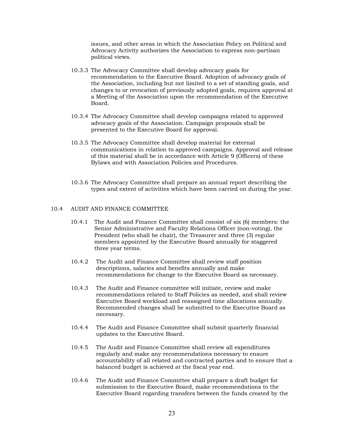issues, and other areas in which the Association Policy on Political and Advocacy Activity authorizes the Association to express non-partisan political views.

- 10.3.3 The Advocacy Committee shall develop advocacy goals for recommendation to the Executive Board. Adoption of advocacy goals of the Association, including but not limited to a set of standing goals, and changes to or revocation of previously adopted goals, requires approval at a Meeting of the Association upon the recommendation of the Executive Board.
- 10.3.4 The Advocacy Committee shall develop campaigns related to approved advocacy goals of the Association. Campaign proposals shall be presented to the Executive Board for approval.
- 10.3.5 The Advocacy Committee shall develop material for external communications in relation to approved campaigns. Approval and release of this material shall be in accordance with Article 9 (Officers) of these Bylaws and with Association Policies and Procedures.
- 10.3.6 The Advocacy Committee shall prepare an annual report describing the types and extent of activities which have been carried on during the year.

#### 10.4 AUDIT AND FINANCE COMMITTEE

- 10.4.1 The Audit and Finance Committee shall consist of six (6) members: the Senior Administrative and Faculty Relations Officer (non-voting), the President (who shall be chair), the Treasurer and three (3) regular members appointed by the Executive Board annually for staggered three year terms.
- 10.4.2 The Audit and Finance Committee shall review staff position descriptions, salaries and benefits annually and make recommendations for change to the Executive Board as necessary.
- 10.4.3 The Audit and Finance committee will initiate, review and make recommendations related to Staff Policies as needed, and shall review Executive Board workload and reassigned time allocations annually. Recommended changes shall be submitted to the Executive Board as necessary.
- 10.4.4 The Audit and Finance Committee shall submit quarterly financial updates to the Executive Board.
- 10.4.5 The Audit and Finance Committee shall review all expenditures regularly and make any recommendations necessary to ensure accountability of all related and contracted parties and to ensure that a balanced budget is achieved at the fiscal year end.
- 10.4.6 The Audit and Finance Committee shall prepare a draft budget for submission to the Executive Board, make recommendations to the Executive Board regarding transfers between the funds created by the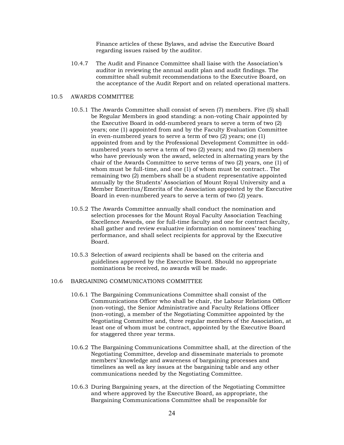Finance articles of these Bylaws, and advise the Executive Board regarding issues raised by the auditor.

10.4.7 The Audit and Finance Committee shall liaise with the Association's auditor in reviewing the annual audit plan and audit findings. The committee shall submit recommendations to the Executive Board, on the acceptance of the Audit Report and on related operational matters.

#### 10.5 AWARDS COMMITTEE

- 10.5.1 The Awards Committee shall consist of seven (7) members. Five (5) shall be Regular Members in good standing: a non-voting Chair appointed by the Executive Board in odd-numbered years to serve a term of two (2) years; one (1) appointed from and by the Faculty Evaluation Committee in even-numbered years to serve a term of two (2) years; one (1) appointed from and by the Professional Development Committee in oddnumbered years to serve a term of two (2) years; and two (2) members who have previously won the award, selected in alternating years by the chair of the Awards Committee to serve terms of two (2) years, one (1) of whom must be full-time, and one (1) of whom must be contract.. The remaining two (2) members shall be a student representative appointed annually by the Students' Association of Mount Royal University and a Member Emeritus/Emerita of the Association appointed by the Executive Board in even-numbered years to serve a term of two (2) years.
- 10.5.2 The Awards Committee annually shall conduct the nomination and selection processes for the Mount Royal Faculty Association Teaching Excellence Awards, one for full-time faculty and one for contract faculty, shall gather and review evaluative information on nominees' teaching performance, and shall select recipients for approval by the Executive Board.
- 10.5.3 Selection of award recipients shall be based on the criteria and guidelines approved by the Executive Board. Should no appropriate nominations be received, no awards will be made.

## 10.6 BARGAINING COMMUNICATIONS COMMITTEE

- 10.6.1 The Bargaining Communications Committee shall consist of the Communications Officer who shall be chair, the Labour Relations Officer (non-voting), the Senior Administrative and Faculty Relations Officer (non-voting), a member of the Negotiating Committee appointed by the Negotiating Committee and, three regular members of the Association, at least one of whom must be contract, appointed by the Executive Board for staggered three year terms.
- 10.6.2 The Bargaining Communications Committee shall, at the direction of the Negotiating Committee, develop and disseminate materials to promote members' knowledge and awareness of bargaining processes and timelines as well as key issues at the bargaining table and any other communications needed by the Negotiating Committee.
- 10.6.3 During Bargaining years, at the direction of the Negotiating Committee and where approved by the Executive Board, as appropriate, the Bargaining Communications Committee shall be responsible for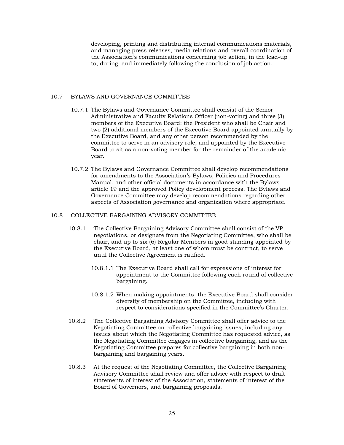developing, printing and distributing internal communications materials, and managing press releases, media relations and overall coordination of the Association's communications concerning job action, in the lead-up to, during, and immediately following the conclusion of job action.

#### 10.7 BYLAWS AND GOVERNANCE COMMITTEE

- 10.7.1 The Bylaws and Governance Committee shall consist of the Senior Administrative and Faculty Relations Officer (non-voting) and three (3) members of the Executive Board: the President who shall be Chair and two (2) additional members of the Executive Board appointed annually by the Executive Board, and any other person recommended by the committee to serve in an advisory role, and appointed by the Executive Board to sit as a non-voting member for the remainder of the academic year.
- 10.7.2 The Bylaws and Governance Committee shall develop recommendations for amendments to the Association's Bylaws, Policies and Procedures Manual, and other official documents in accordance with the Bylaws article 19 and the approved Policy development process. The Bylaws and Governance Committee may develop recommendations regarding other aspects of Association governance and organization where appropriate.

#### 10.8 COLLECTIVE BARGAINING ADVISORY COMMITTEE

- 10.8.1 The Collective Bargaining Advisory Committee shall consist of the VP negotiations, or designate from the Negotiating Committee, who shall be chair, and up to six (6) Regular Members in good standing appointed by the Executive Board, at least one of whom must be contract, to serve until the Collective Agreement is ratified.
	- 10.8.1.1 The Executive Board shall call for expressions of interest for appointment to the Committee following each round of collective bargaining.
	- 10.8.1.2 When making appointments, the Executive Board shall consider diversity of membership on the Committee, including with respect to considerations specified in the Committee's Charter.
- 10.8.2 The Collective Bargaining Advisory Committee shall offer advice to the Negotiating Committee on collective bargaining issues, including any issues about which the Negotiating Committee has requested advice, as the Negotiating Committee engages in collective bargaining, and as the Negotiating Committee prepares for collective bargaining in both nonbargaining and bargaining years.
- 10.8.3 At the request of the Negotiating Committee, the Collective Bargaining Advisory Committee shall review and offer advice with respect to draft statements of interest of the Association, statements of interest of the Board of Governors, and bargaining proposals.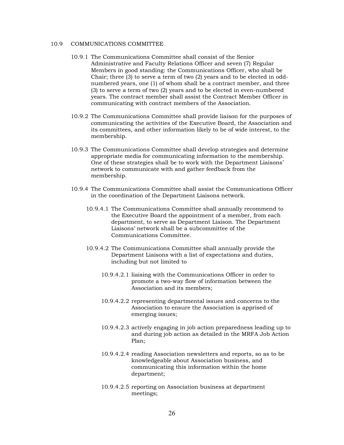## 10.9 COMMUNICATIONS COMMITTEE

- 10.9.1 The Communications Committee shall consist of the Senior Administrative and Faculty Relations Officer and seven (7) Regular Members in good standing: the Communications Officer, who shall be Chair; three (3) to serve a term of two (2) years and to be elected in oddnumbered years, one (1) of whom shall be a contract member, and three (3) to serve a term of two (2) years and to be elected in even-numbered years. The contract member shall assist the Contract Member Officer in communicating with contract members of the Association.
- 10.9.2 The Communications Committee shall provide liaison for the purposes of communicating the activities of the Executive Board, the Association and its committees, and other information likely to be of wide interest, to the membership.
- 10.9.3 The Communications Committee shall develop strategies and determine appropriate media for communicating information to the membership. One of these strategies shall be to work with the Department Liaisons' network to communicate with and gather feedback from the membership.
- 10.9.4 The Communications Committee shall assist the Communications Officer in the coordination of the Department Liaisons network.
	- 10.9.4.1 The Communications Committee shall annually recommend to the Executive Board the appointment of a member, from each department, to serve as Department Liaison. The Department Liaisons' network shall be a subcommittee of the Communications Committee.
	- 10.9.4.2 The Communications Committee shall annually provide the Department Liaisons with a list of expectations and duties, including but not limited to
		- 10.9.4.2.1 liaising with the Communications Officer in order to promote a two-way flow of information between the Association and its members;
		- 10.9.4.2.2 representing departmental issues and concerns to the Association to ensure the Association is apprised of emerging issues;
		- 10.9.4.2.3 actively engaging in job action preparedness leading up to and during job action as detailed in the MRFA Job Action Plan;
		- 10.9.4.2.4 reading Association newsletters and reports, so as to be knowledgeable about Association business, and communicating this information within the home department;
		- 10.9.4.2.5 reporting on Association business at department meetings;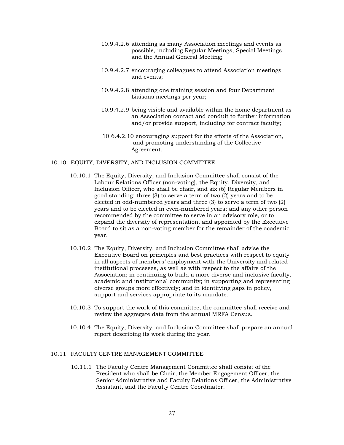- 10.9.4.2.6 attending as many Association meetings and events as possible, including Regular Meetings, Special Meetings and the Annual General Meeting;
- 10.9.4.2.7 encouraging colleagues to attend Association meetings and events;
- 10.9.4.2.8 attending one training session and four Department Liaisons meetings per year;
- 10.9.4.2.9 being visible and available within the home department as an Association contact and conduit to further information and/or provide support, including for contract faculty;
- 10.6.4.2.10 encouraging support for the efforts of the Association, and promoting understanding of the Collective Agreement.

#### 10.10 EQUITY, DIVERSITY, AND INCLUSION COMMITTEE

- 10.10.1 The Equity, Diversity, and Inclusion Committee shall consist of the Labour Relations Officer (non-voting), the Equity, Diversity, and Inclusion Officer, who shall be chair, and six (6) Regular Members in good standing: three (3) to serve a term of two (2) years and to be elected in odd-numbered years and three (3) to serve a term of two (2) years and to be elected in even-numbered years; and any other person recommended by the committee to serve in an advisory role, or to expand the diversity of representation, and appointed by the Executive Board to sit as a non-voting member for the remainder of the academic year.
- 10.10.2 The Equity, Diversity, and Inclusion Committee shall advise the Executive Board on principles and best practices with respect to equity in all aspects of members' employment with the University and related institutional processes, as well as with respect to the affairs of the Association; in continuing to build a more diverse and inclusive faculty, academic and institutional community; in supporting and representing diverse groups more effectively; and in identifying gaps in policy, support and services appropriate to its mandate.
- 10.10.3 To support the work of this committee, the committee shall receive and review the aggregate data from the annual MRFA Census.
- 10.10.4 The Equity, Diversity, and Inclusion Committee shall prepare an annual report describing its work during the year.

### 10.11 FACULTY CENTRE MANAGEMENT COMMITTEE

10.11.1 The Faculty Centre Management Committee shall consist of the President who shall be Chair, the Member Engagement Officer, the Senior Administrative and Faculty Relations Officer, the Administrative Assistant, and the Faculty Centre Coordinator.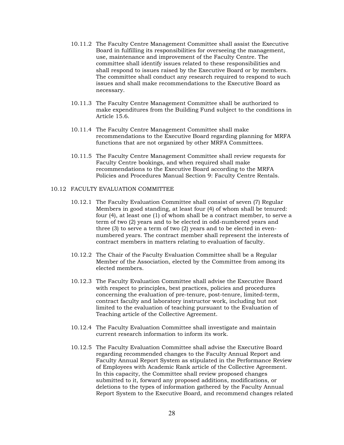- 10.11.2 The Faculty Centre Management Committee shall assist the Executive Board in fulfilling its responsibilities for overseeing the management, use, maintenance and improvement of the Faculty Centre. The committee shall identify issues related to these responsibilities and shall respond to issues raised by the Executive Board or by members. The committee shall conduct any research required to respond to such issues and shall make recommendations to the Executive Board as necessary.
- 10.11.3 The Faculty Centre Management Committee shall be authorized to make expenditures from the Building Fund subject to the conditions in Article 15.6.
- 10.11.4 The Faculty Centre Management Committee shall make recommendations to the Executive Board regarding planning for MRFA functions that are not organized by other MRFA Committees.
- 10.11.5 The Faculty Centre Management Committee shall review requests for Faculty Centre bookings, and when required shall make recommendations to the Executive Board according to the MRFA Policies and Procedures Manual Section 9: Faculty Centre Rentals.

## 10.12 FACULTY EVALUATION COMMITTEE

- 10.12.1 The Faculty Evaluation Committee shall consist of seven (7) Regular Members in good standing, at least four (4) of whom shall be tenured: four (4), at least one (1) of whom shall be a contract member, to serve a term of two (2) years and to be elected in odd-numbered years and three (3) to serve a term of two (2) years and to be elected in evennumbered years. The contract member shall represent the interests of contract members in matters relating to evaluation of faculty.
- 10.12.2 The Chair of the Faculty Evaluation Committee shall be a Regular Member of the Association, elected by the Committee from among its elected members.
- 10.12.3 The Faculty Evaluation Committee shall advise the Executive Board with respect to principles, best practices, policies and procedures concerning the evaluation of pre-tenure, post-tenure, limited-term, contract faculty and laboratory instructor work, including but not limited to the evaluation of teaching pursuant to the Evaluation of Teaching article of the Collective Agreement.
- 10.12.4 The Faculty Evaluation Committee shall investigate and maintain current research information to inform its work.
- 10.12.5 The Faculty Evaluation Committee shall advise the Executive Board regarding recommended changes to the Faculty Annual Report and Faculty Annual Report System as stipulated in the Performance Review of Employees with Academic Rank article of the Collective Agreement. In this capacity, the Committee shall review proposed changes submitted to it, forward any proposed additions, modifications, or deletions to the types of information gathered by the Faculty Annual Report System to the Executive Board, and recommend changes related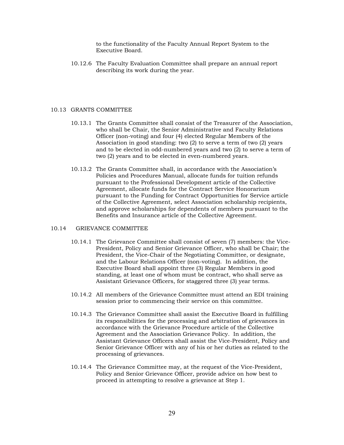to the functionality of the Faculty Annual Report System to the Executive Board.

10.12.6 The Faculty Evaluation Committee shall prepare an annual report describing its work during the year.

#### 10.13 GRANTS COMMITTEE

- 10.13.1 The Grants Committee shall consist of the Treasurer of the Association, who shall be Chair, the Senior Administrative and Faculty Relations Officer (non-voting) and four (4) elected Regular Members of the Association in good standing: two (2) to serve a term of two (2) years and to be elected in odd-numbered years and two (2) to serve a term of two (2) years and to be elected in even-numbered years.
- 10.13.2 The Grants Committee shall, in accordance with the Association's Policies and Procedures Manual, allocate funds for tuition refunds pursuant to the Professional Development article of the Collective Agreement, allocate funds for the Contract Service Honorarium pursuant to the Funding for Contract Opportunities for Service article of the Collective Agreement, select Association scholarship recipients, and approve scholarships for dependents of members pursuant to the Benefits and Insurance article of the Collective Agreement.

#### 10.14 GRIEVANCE COMMITTEE

- 10.14.1 The Grievance Committee shall consist of seven (7) members: the Vice-President, Policy and Senior Grievance Officer, who shall be Chair; the President, the Vice-Chair of the Negotiating Committee, or designate, and the Labour Relations Officer (non-voting). In addition, the Executive Board shall appoint three (3) Regular Members in good standing, at least one of whom must be contract, who shall serve as Assistant Grievance Officers, for staggered three (3) year terms.
- 10.14.2 All members of the Grievance Committee must attend an EDI training session prior to commencing their service on this committee.
- 10.14.3 The Grievance Committee shall assist the Executive Board in fulfilling its responsibilities for the processing and arbitration of grievances in accordance with the Grievance Procedure article of the Collective Agreement and the Association Grievance Policy. In addition, the Assistant Grievance Officers shall assist the Vice-President, Policy and Senior Grievance Officer with any of his or her duties as related to the processing of grievances.
- 10.14.4 The Grievance Committee may, at the request of the Vice-President, Policy and Senior Grievance Officer, provide advice on how best to proceed in attempting to resolve a grievance at Step 1.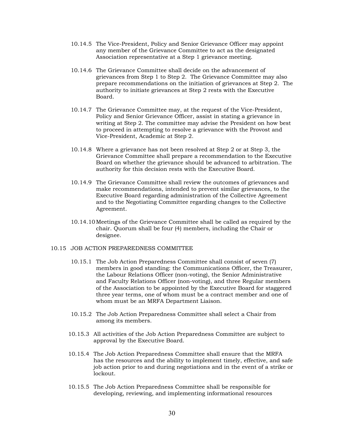- 10.14.5 The Vice-President, Policy and Senior Grievance Officer may appoint any member of the Grievance Committee to act as the designated Association representative at a Step 1 grievance meeting.
- 10.14.6 The Grievance Committee shall decide on the advancement of grievances from Step 1 to Step 2. The Grievance Committee may also prepare recommendations on the initiation of grievances at Step 2. The authority to initiate grievances at Step 2 rests with the Executive Board.
- 10.14.7 The Grievance Committee may, at the request of the Vice-President, Policy and Senior Grievance Officer, assist in stating a grievance in writing at Step 2. The committee may advise the President on how best to proceed in attempting to resolve a grievance with the Provost and Vice-President, Academic at Step 2.
- 10.14.8 Where a grievance has not been resolved at Step 2 or at Step 3, the Grievance Committee shall prepare a recommendation to the Executive Board on whether the grievance should be advanced to arbitration. The authority for this decision rests with the Executive Board.
- 10.14.9 The Grievance Committee shall review the outcomes of grievances and make recommendations, intended to prevent similar grievances, to the Executive Board regarding administration of the Collective Agreement and to the Negotiating Committee regarding changes to the Collective Agreement.
- 10.14.10 Meetings of the Grievance Committee shall be called as required by the chair. Quorum shall be four (4) members, including the Chair or designee.

## 10.15 JOB ACTION PREPAREDNESS COMMITTEE

- 10.15.1 The Job Action Preparedness Committee shall consist of seven (7) members in good standing: the Communications Officer, the Treasurer, the Labour Relations Officer (non-voting), the Senior Administrative and Faculty Relations Officer (non-voting), and three Regular members of the Association to be appointed by the Executive Board for staggered three year terms, one of whom must be a contract member and one of whom must be an MRFA Department Liaison.
- 10.15.2 The Job Action Preparedness Committee shall select a Chair from among its members.
- 10.15.3 All activities of the Job Action Preparedness Committee are subject to approval by the Executive Board.
- 10.15.4 The Job Action Preparedness Committee shall ensure that the MRFA has the resources and the ability to implement timely, effective, and safe job action prior to and during negotiations and in the event of a strike or lockout.
- 10.15.5 The Job Action Preparedness Committee shall be responsible for developing, reviewing, and implementing informational resources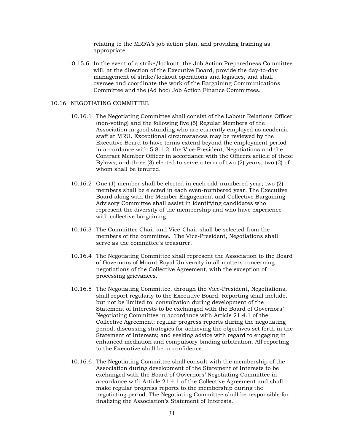relating to the MRFA's job action plan, and providing training as appropriate.

10.15.6 In the event of a strike/lockout, the Job Action Preparedness Committee will, at the direction of the Executive Board, provide the day-to-day management of strike/lockout operations and logistics, and shall oversee and coordinate the work of the Bargaining Communications Committee and the (Ad hoc) Job Action Finance Committees.

#### 10.16 NEGOTIATING COMMITTEE

- 10.16.1 The Negotiating Committee shall consist of the Labour Relations Officer (non-voting) and the following five (5) Regular Members of the Association in good standing who are currently employed as academic staff at MRU. Exceptional circumstances may be reviewed by the Executive Board to have terms extend beyond the employment period in accordance with 5.8.1.2. the Vice-President, Negotiations and the Contract Member Officer in accordance with the Officers article of these Bylaws; and three (3) elected to serve a term of two (2) years, two (2) of whom shall be tenured.
- 10.16.2 One (1) member shall be elected in each odd-numbered year; two (2) members shall be elected in each even-numbered year. The Executive Board along with the Member Engagement and Collective Bargaining Advisory Committee shall assist in identifying candidates who represent the diversity of the membership and who have experience with collective bargaining.
- 10.16.3 The Committee Chair and Vice-Chair shall be selected from the members of the committee. The Vice-President, Negotiations shall serve as the committee's treasurer.
- 10.16.4 The Negotiating Committee shall represent the Association to the Board of Governors of Mount Royal University in all matters concerning negotiations of the Collective Agreement, with the exception of processing grievances.
- 10.16.5 The Negotiating Committee, through the Vice-President, Negotiations, shall report regularly to the Executive Board. Reporting shall include, but not be limited to: consultation during development of the Statement of Interests to be exchanged with the Board of Governors' Negotiating Committee in accordance with Article 21.4.1 of the Collective Agreement; regular progress reports during the negotiating period; discussing strategies for achieving the objectives set forth in the Statement of Interests; and seeking advice with regard to engaging in enhanced mediation and compulsory binding arbitration. All reporting to the Executive shall be in confidence.
- 10.16.6 The Negotiating Committee shall consult with the membership of the Association during development of the Statement of Interests to be exchanged with the Board of Governors' Negotiating Committee in accordance with Article 21.4.1 of the Collective Agreement and shall make regular progress reports to the membership during the negotiating period. The Negotiating Committee shall be responsible for finalizing the Association's Statement of Interests.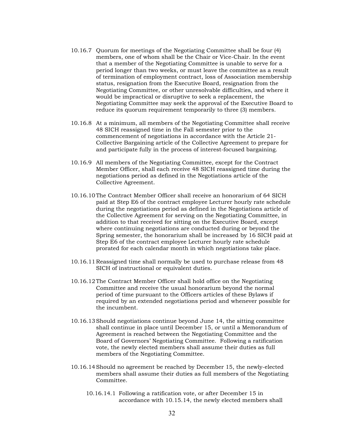- 10.16.7 Quorum for meetings of the Negotiating Committee shall be four (4) members, one of whom shall be the Chair or Vice-Chair. In the event that a member of the Negotiating Committee is unable to serve for a period longer than two weeks, or must leave the committee as a result of termination of employment contract, loss of Association membership status, resignation from the Executive Board, resignation from the Negotiating Committee, or other unresolvable difficulties, and where it would be impractical or disruptive to seek a replacement, the Negotiating Committee may seek the approval of the Executive Board to reduce its quorum requirement temporarily to three (3) members.
- 10.16.8 At a minimum, all members of the Negotiating Committee shall receive 48 SICH reassigned time in the Fall semester prior to the commencement of negotiations in accordance with the Article 21- Collective Bargaining article of the Collective Agreement to prepare for and participate fully in the process of interest-focused bargaining.
- 10.16.9 All members of the Negotiating Committee, except for the Contract Member Officer, shall each receive 48 SICH reassigned time during the negotiations period as defined in the Negotiations article of the Collective Agreement.
- 10.16.10The Contract Member Officer shall receive an honorarium of 64 SICH paid at Step E6 of the contract employee Lecturer hourly rate schedule during the negotiations period as defined in the Negotiations article of the Collective Agreement for serving on the Negotiating Committee, in addition to that received for sitting on the Executive Board, except where continuing negotiations are conducted during or beyond the Spring semester, the honorarium shall be increased by 16 SICH paid at Step E6 of the contract employee Lecturer hourly rate schedule prorated for each calendar month in which negotiations take place.
- 10.16.11 Reassigned time shall normally be used to purchase release from 48 SICH of instructional or equivalent duties.
- 10.16.12The Contract Member Officer shall hold office on the Negotiating Committee and receive the usual honorarium beyond the normal period of time pursuant to the Officers articles of these Bylaws if required by an extended negotiations period and whenever possible for the incumbent.
- 10.16.13Should negotiations continue beyond June 14, the sitting committee shall continue in place until December 15, or until a Memorandum of Agreement is reached between the Negotiating Committee and the Board of Governors' Negotiating Committee. Following a ratification vote, the newly elected members shall assume their duties as full members of the Negotiating Committee.
- 10.16.14Should no agreement be reached by December 15, the newly-elected members shall assume their duties as full members of the Negotiating Committee.
	- 10.16.14.1 Following a ratification vote, or after December 15 in accordance with 10.15.14, the newly elected members shall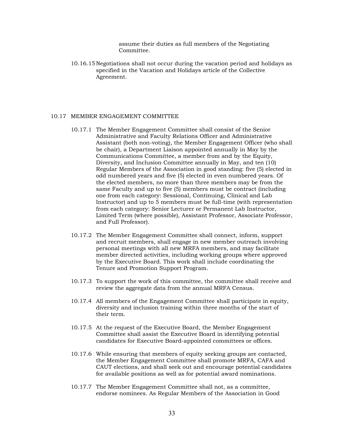assume their duties as full members of the Negotiating Committee.

10.16.15 Negotiations shall not occur during the vacation period and holidays as specified in the Vacation and Holidays article of the Collective Agreement.

#### 10.17 MEMBER ENGAGEMENT COMMITTEE

- 10.17.1 The Member Engagement Committee shall consist of the Senior Administrative and Faculty Relations Officer and Administrative Assistant (both non-voting), the Member Engagement Officer (who shall be chair), a Department Liaison appointed annually in May by the Communications Committee, a member from and by the Equity, Diversity, and Inclusion Committee annually in May, and ten (10) Regular Members of the Association in good standing: five (5) elected in odd numbered years and five (5) elected in even numbered years. Of the elected members, no more than three members may be from the same Faculty and up to five (5) members must be contract (including one from each category: Sessional, Continuing, Clinical and Lab Instructor) and up to 5 members must be full-time (with representation from each category: Senior Lecturer or Permanent Lab Instructor, Limited Term (where possible), Assistant Professor, Associate Professor, and Full Professor).
- 10.17.2 The Member Engagement Committee shall connect, inform, support and recruit members, shall engage in new member outreach involving personal meetings with all new MRFA members, and may facilitate member directed activities, including working groups where approved by the Executive Board. This work shall include coordinating the Tenure and Promotion Support Program.
- 10.17.3 To support the work of this committee, the committee shall receive and review the aggregate data from the annual MRFA Census.
- 10.17.4 All members of the Engagement Committee shall participate in equity, diversity and inclusion training within three months of the start of their term.
- 10.17.5 At the request of the Executive Board, the Member Engagement Committee shall assist the Executive Board in identifying potential candidates for Executive Board-appointed committees or offices.
- 10.17.6 While ensuring that members of equity seeking groups are contacted, the Member Engagement Committee shall promote MRFA, CAFA and CAUT elections, and shall seek out and encourage potential candidates for available positions as well as for potential award nominations.
- 10.17.7 The Member Engagement Committee shall not, as a committee, endorse nominees. As Regular Members of the Association in Good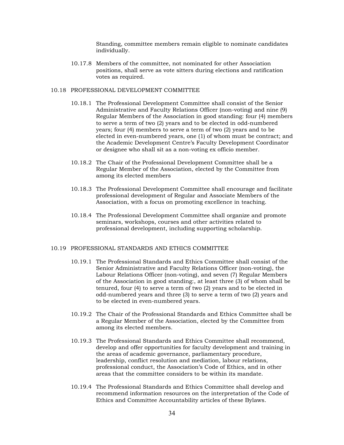Standing, committee members remain eligible to nominate candidates individually.

10.17.8 Members of the committee, not nominated for other Association positions, shall serve as vote sitters during elections and ratification votes as required.

## 10.18 PROFESSIONAL DEVELOPMENT COMMITTEE

- 10.18.1 The Professional Development Committee shall consist of the Senior Administrative and Faculty Relations Officer (non-voting) and nine (9) Regular Members of the Association in good standing: four (4) members to serve a term of two (2) years and to be elected in odd-numbered years; four (4) members to serve a term of two (2) years and to be elected in even-numbered years, one (1) of whom must be contract; and the Academic Development Centre's Faculty Development Coordinator or designee who shall sit as a non-voting ex officio member.
- 10.18.2 The Chair of the Professional Development Committee shall be a Regular Member of the Association, elected by the Committee from among its elected members
- 10.18.3 The Professional Development Committee shall encourage and facilitate professional development of Regular and Associate Members of the Association, with a focus on promoting excellence in teaching.
- 10.18.4 The Professional Development Committee shall organize and promote seminars, workshops, courses and other activities related to professional development, including supporting scholarship.

## 10.19 PROFESSIONAL STANDARDS AND ETHICS COMMITTEE

- 10.19.1 The Professional Standards and Ethics Committee shall consist of the Senior Administrative and Faculty Relations Officer (non-voting), the Labour Relations Officer (non-voting), and seven (7) Regular Members of the Association in good standing:, at least three (3) of whom shall be tenured, four (4) to serve a term of two (2) years and to be elected in odd-numbered years and three (3) to serve a term of two (2) years and to be elected in even-numbered years.
- 10.19.2 The Chair of the Professional Standards and Ethics Committee shall be a Regular Member of the Association, elected by the Committee from among its elected members.
- 10.19.3 The Professional Standards and Ethics Committee shall recommend, develop and offer opportunities for faculty development and training in the areas of academic governance, parliamentary procedure, leadership, conflict resolution and mediation, labour relations, professional conduct, the Association's Code of Ethics, and in other areas that the committee considers to be within its mandate.
- 10.19.4 The Professional Standards and Ethics Committee shall develop and recommend information resources on the interpretation of the Code of Ethics and Committee Accountability articles of these Bylaws.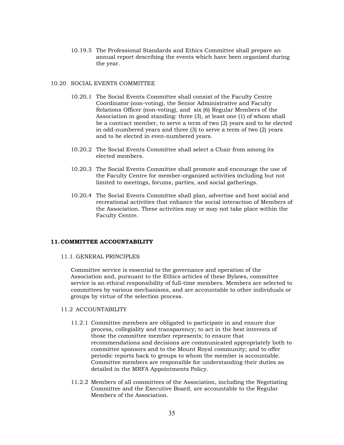10.19.5 The Professional Standards and Ethics Committee shall prepare an annual report describing the events which have been organized during the year.

## 10.20 SOCIAL EVENTS COMMITTEE

- 10.20.1 The Social Events Committee shall consist of the Faculty Centre Coordinator (non-voting), the Senior Administrative and Faculty Relations Officer (non-voting), and six (6) Regular Members of the Association in good standing: three (3), at least one (1) of whom shall be a contract member, to serve a term of two (2) years and to be elected in odd-numbered years and three (3) to serve a term of two (2) years and to be elected in even-numbered years.
- 10.20.2 The Social Events Committee shall select a Chair from among its elected members.
- 10.20.3 The Social Events Committee shall promote and encourage the use of the Faculty Centre for member-organized activities including but not limited to meetings, forums, parties, and social gatherings.
- 10.20.4 The Social Events Committee shall plan, advertise and host social and recreational activities that enhance the social interaction of Members of the Association. These activities may or may not take place within the Faculty Centre.

#### <span id="page-34-0"></span>**11.COMMITTEE ACCOUNTABILITY**

#### 11.1. GENERAL PRINCIPLES

Committee service is essential to the governance and operation of the Association and, pursuant to the Ethics articles of these Bylaws, committee service is an ethical responsibility of full-time members. Members are selected to committees by various mechanisms, and are accountable to other individuals or groups by virtue of the selection process.

## 11.2 ACCOUNTABILITY

- 11.2.1 Committee members are obligated to participate in and ensure due process, collegiality and transparency; to act in the best interests of those the committee member represents; to ensure that recommendations and decisions are communicated appropriately both to committee sponsors and to the Mount Royal community; and to offer periodic reports back to groups to whom the member is accountable. Committee members are responsible for understanding their duties as detailed in the MRFA Appointments Policy.
- 11.2.2 Members of all committees of the Association, including the Negotiating Committee and the Executive Board, are accountable to the Regular Members of the Association.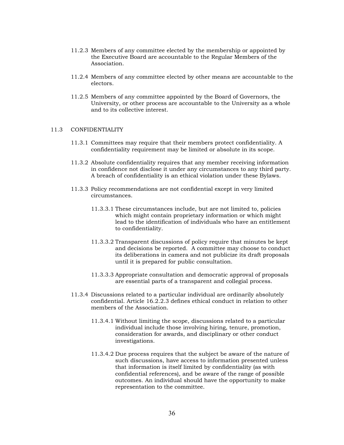- 11.2.3 Members of any committee elected by the membership or appointed by the Executive Board are accountable to the Regular Members of the Association.
- 11.2.4 Members of any committee elected by other means are accountable to the electors.
- 11.2.5 Members of any committee appointed by the Board of Governors, the University, or other process are accountable to the University as a whole and to its collective interest.

## 11.3 CONFIDENTIALITY

- 11.3.1 Committees may require that their members protect confidentiality. A confidentiality requirement may be limited or absolute in its scope.
- 11.3.2 Absolute confidentiality requires that any member receiving information in confidence not disclose it under any circumstances to any third party. A breach of confidentiality is an ethical violation under these Bylaws.
- 11.3.3 Policy recommendations are not confidential except in very limited circumstances.
	- 11.3.3.1 These circumstances include, but are not limited to, policies which might contain proprietary information or which might lead to the identification of individuals who have an entitlement to confidentiality.
	- 11.3.3.2 Transparent discussions of policy require that minutes be kept and decisions be reported. A committee may choose to conduct its deliberations in camera and not publicize its draft proposals until it is prepared for public consultation.
	- 11.3.3.3 Appropriate consultation and democratic approval of proposals are essential parts of a transparent and collegial process.
- 11.3.4 Discussions related to a particular individual are ordinarily absolutely confidential. Article 16.2.2.3 defines ethical conduct in relation to other members of the Association.
	- 11.3.4.1 Without limiting the scope, discussions related to a particular individual include those involving hiring, tenure, promotion, consideration for awards, and disciplinary or other conduct investigations.
	- 11.3.4.2 Due process requires that the subject be aware of the nature of such discussions, have access to information presented unless that information is itself limited by confidentiality (as with confidential references), and be aware of the range of possible outcomes. An individual should have the opportunity to make representation to the committee.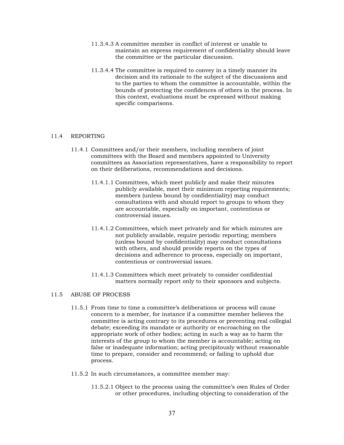- 11.3.4.3 A committee member in conflict of interest or unable to maintain an express requirement of confidentiality should leave the committee or the particular discussion.
- 11.3.4.4 The committee is required to convey in a timely manner its decision and its rationale to the subject of the discussions and to the parties to whom the committee is accountable, within the bounds of protecting the confidences of others in the process. In this context, evaluations must be expressed without making specific comparisons.

## 11.4 REPORTING

- 11.4.1 Committees and/or their members, including members of joint committees with the Board and members appointed to University committees as Association representatives, have a responsibility to report on their deliberations, recommendations and decisions.
	- 11.4.1.1 Committees, which meet publicly and make their minutes publicly available, meet their minimum reporting requirements; members (unless bound by confidentiality) may conduct consultations with and should report to groups to whom they are accountable, especially on important, contentious or controversial issues.
	- 11.4.1.2 Committees, which meet privately and for which minutes are not publicly available, require periodic reporting; members (unless bound by confidentiality) may conduct consultations with others, and should provide reports on the types of decisions and adherence to process, especially on important, contentious or controversial issues.
	- 11.4.1.3 Committees which meet privately to consider confidential matters normally report only to their sponsors and subjects.

## 11.5 ABUSE OF PROCESS

- 11.5.1 From time to time a committee's deliberations or process will cause concern to a member, for instance if a committee member believes the committee is acting contrary to its procedures or preventing real collegial debate; exceeding its mandate or authority or encroaching on the appropriate work of other bodies; acting in such a way as to harm the interests of the group to whom the member is accountable; acting on false or inadequate information; acting precipitously without reasonable time to prepare, consider and recommend; or failing to uphold due process.
- 11.5.2 In such circumstances, a committee member may:
	- 11.5.2.1 Object to the process using the committee's own Rules of Order or other procedures, including objecting to consideration of the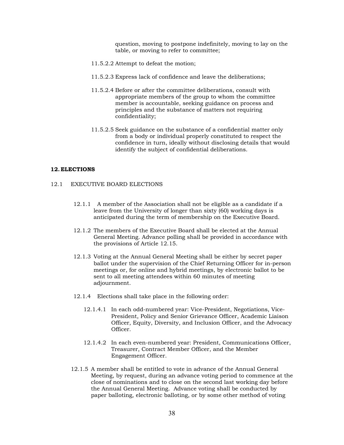question, moving to postpone indefinitely, moving to lay on the table, or moving to refer to committee;

- 11.5.2.2 Attempt to defeat the motion;
- 11.5.2.3 Express lack of confidence and leave the deliberations;
- 11.5.2.4 Before or after the committee deliberations, consult with appropriate members of the group to whom the committee member is accountable, seeking guidance on process and principles and the substance of matters not requiring confidentiality;
- 11.5.2.5 Seek guidance on the substance of a confidential matter only from a body or individual properly constituted to respect the confidence in turn, ideally without disclosing details that would identify the subject of confidential deliberations.

#### <span id="page-37-0"></span>**12.ELECTIONS**

- 12.1 EXECUTIVE BOARD ELECTIONS
	- 12.1.1 A member of the Association shall not be eligible as a candidate if a leave from the University of longer than sixty (60) working days is anticipated during the term of membership on the Executive Board.
	- 12.1.2 The members of the Executive Board shall be elected at the Annual General Meeting. Advance polling shall be provided in accordance with the provisions of Article 12.15.
	- 12.1.3 Voting at the Annual General Meeting shall be either by secret paper ballot under the supervision of the Chief Returning Officer for in-person meetings or, for online and hybrid meetings, by electronic ballot to be sent to all meeting attendees within 60 minutes of meeting adjournment.
	- 12.1.4 Elections shall take place in the following order:
		- 12.1.4.1 In each odd-numbered year: Vice-President, Negotiations, Vice-President, Policy and Senior Grievance Officer, Academic Liaison Officer, Equity, Diversity, and Inclusion Officer, and the Advocacy Officer.
		- 12.1.4.2 In each even-numbered year: President, Communications Officer, Treasurer, Contract Member Officer, and the Member Engagement Officer.
	- 12.1.5 A member shall be entitled to vote in advance of the Annual General Meeting, by request, during an advance voting period to commence at the close of nominations and to close on the second last working day before the Annual General Meeting. Advance voting shall be conducted by paper balloting, electronic balloting, or by some other method of voting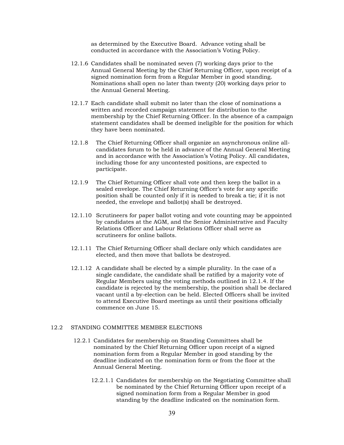as determined by the Executive Board. Advance voting shall be conducted in accordance with the Association's Voting Policy.

- 12.1.6 Candidates shall be nominated seven (7) working days prior to the Annual General Meeting by the Chief Returning Officer, upon receipt of a signed nomination form from a Regular Member in good standing. Nominations shall open no later than twenty (20) working days prior to the Annual General Meeting.
- 12.1.7 Each candidate shall submit no later than the close of nominations a written and recorded campaign statement for distribution to the membership by the Chief Returning Officer. In the absence of a campaign statement candidates shall be deemed ineligible for the position for which they have been nominated.
- 12.1.8 The Chief Returning Officer shall organize an asynchronous online allcandidates forum to be held in advance of the Annual General Meeting and in accordance with the Association's Voting Policy. All candidates, including those for any uncontested positions, are expected to participate.
- 12.1.9 The Chief Returning Officer shall vote and then keep the ballot in a sealed envelope. The Chief Returning Officer's vote for any specific position shall be counted only if it is needed to break a tie; if it is not needed, the envelope and ballot(s) shall be destroyed.
- 12.1.10 Scrutineers for paper ballot voting and vote counting may be appointed by candidates at the AGM, and the Senior Administrative and Faculty Relations Officer and Labour Relations Officer shall serve as scrutineers for online ballots.
- 12.1.11 The Chief Returning Officer shall declare only which candidates are elected, and then move that ballots be destroyed.
- 12.1.12 A candidate shall be elected by a simple plurality. In the case of a single candidate, the candidate shall be ratified by a majority vote of Regular Members using the voting methods outlined in 12.1.4. If the candidate is rejected by the membership, the position shall be declared vacant until a by-election can be held. Elected Officers shall be invited to attend Executive Board meetings as until their positions officially commence on June 15.

## 12.2 STANDING COMMITTEE MEMBER ELECTIONS

- 12.2.1 Candidates for membership on Standing Committees shall be nominated by the Chief Returning Officer upon receipt of a signed nomination form from a Regular Member in good standing by the deadline indicated on the nomination form or from the floor at the Annual General Meeting.
	- 12.2.1.1 Candidates for membership on the Negotiating Committee shall be nominated by the Chief Returning Officer upon receipt of a signed nomination form from a Regular Member in good standing by the deadline indicated on the nomination form.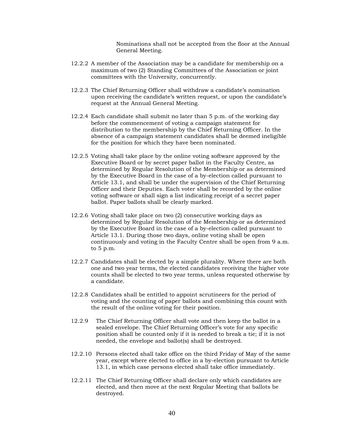Nominations shall not be accepted from the floor at the Annual General Meeting.

- 12.2.2 A member of the Association may be a candidate for membership on a maximum of two (2) Standing Committees of the Association or joint committees with the University, concurrently.
- 12.2.3 The Chief Returning Officer shall withdraw a candidate's nomination upon receiving the candidate's written request, or upon the candidate's request at the Annual General Meeting.
- 12.2.4 Each candidate shall submit no later than 5 p.m. of the working day before the commencement of voting a campaign statement for distribution to the membership by the Chief Returning Officer. In the absence of a campaign statement candidates shall be deemed ineligible for the position for which they have been nominated.
- 12.2.5 Voting shall take place by the online voting software approved by the Executive Board or by secret paper ballot in the Faculty Centre, as determined by Regular Resolution of the Membership or as determined by the Executive Board in the case of a by-election called pursuant to Article 13.1, and shall be under the supervision of the Chief Returning Officer and their Deputies. Each voter shall be recorded by the online voting software or shall sign a list indicating receipt of a secret paper ballot. Paper ballots shall be clearly marked.
- 12.2.6 Voting shall take place on two (2) consecutive working days as determined by Regular Resolution of the Membership or as determined by the Executive Board in the case of a by-election called pursuant to Article 13.1. During those two days, online voting shall be open continuously and voting in the Faculty Centre shall be open from 9 a.m. to 5 p.m.
- 12.2.7 Candidates shall be elected by a simple plurality. Where there are both one and two year terms, the elected candidates receiving the higher vote counts shall be elected to two year terms, unless requested otherwise by a candidate.
- 12.2.8 Candidates shall be entitled to appoint scrutineers for the period of voting and the counting of paper ballots and combining this count with the result of the online voting for their position.
- 12.2.9 The Chief Returning Officer shall vote and then keep the ballot in a sealed envelope. The Chief Returning Officer's vote for any specific position shall be counted only if it is needed to break a tie; if it is not needed, the envelope and ballot(s) shall be destroyed.
- 12.2.10 Persons elected shall take office on the third Friday of May of the same year, except where elected to office in a by-election pursuant to Article 13.1, in which case persons elected shall take office immediately.
- 12.2.11 The Chief Returning Officer shall declare only which candidates are elected, and then move at the next Regular Meeting that ballots be destroyed.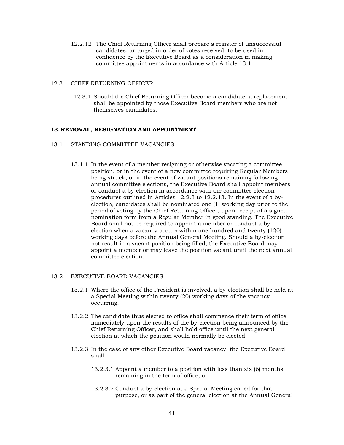- 12.2.12 The Chief Returning Officer shall prepare a register of unsuccessful candidates, arranged in order of votes received, to be used in confidence by the Executive Board as a consideration in making committee appointments in accordance with Article 13.1.
- 12.3 CHIEF RETURNING OFFICER
	- 12.3.1 Should the Chief Returning Officer become a candidate, a replacement shall be appointed by those Executive Board members who are not themselves candidates.

#### <span id="page-40-0"></span>**13.REMOVAL, RESIGNATION AND APPOINTMENT**

- 13.1 STANDING COMMITTEE VACANCIES
	- 13.1.1 In the event of a member resigning or otherwise vacating a committee position, or in the event of a new committee requiring Regular Members being struck, or in the event of vacant positions remaining following annual committee elections, the Executive Board shall appoint members or conduct a by-election in accordance with the committee election procedures outlined in Articles 12.2.3 to 12.2.13. In the event of a byelection, candidates shall be nominated one (1) working day prior to the period of voting by the Chief Returning Officer, upon receipt of a signed nomination form from a Regular Member in good standing. The Executive Board shall not be required to appoint a member or conduct a byelection when a vacancy occurs within one hundred and twenty (120) working days before the Annual General Meeting. Should a by-election not result in a vacant position being filled, the Executive Board may appoint a member or may leave the position vacant until the next annual committee election.

#### 13.2 EXECUTIVE BOARD VACANCIES

- 13.2.1 Where the office of the President is involved, a by-election shall be held at a Special Meeting within twenty (20) working days of the vacancy occurring.
- 13.2.2 The candidate thus elected to office shall commence their term of office immediately upon the results of the by-election being announced by the Chief Returning Officer, and shall hold office until the next general election at which the position would normally be elected.
- 13.2.3 In the case of any other Executive Board vacancy, the Executive Board shall:
	- 13.2.3.1 Appoint a member to a position with less than six (6) months remaining in the term of office; or
	- 13.2.3.2 Conduct a by-election at a Special Meeting called for that purpose, or as part of the general election at the Annual General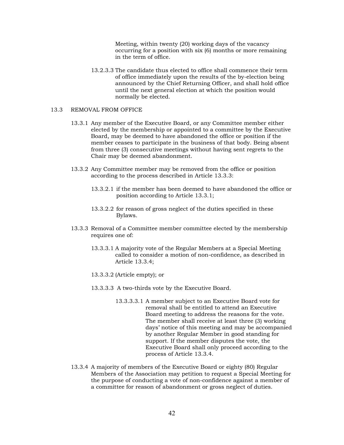Meeting, within twenty (20) working days of the vacancy occurring for a position with six (6) months or more remaining in the term of office.

13.2.3.3 The candidate thus elected to office shall commence their term of office immediately upon the results of the by-election being announced by the Chief Returning Officer, and shall hold office until the next general election at which the position would normally be elected.

#### 13.3 REMOVAL FROM OFFICE

- 13.3.1 Any member of the Executive Board, or any Committee member either elected by the membership or appointed to a committee by the Executive Board, may be deemed to have abandoned the office or position if the member ceases to participate in the business of that body. Being absent from three (3) consecutive meetings without having sent regrets to the Chair may be deemed abandonment.
- 13.3.2 Any Committee member may be removed from the office or position according to the process described in Article 13.3.3:
	- 13.3.2.1 if the member has been deemed to have abandoned the office or position according to Article 13.3.1;
	- 13.3.2.2 for reason of gross neglect of the duties specified in these Bylaws.
- 13.3.3 Removal of a Committee member committee elected by the membership requires one of:
	- 13.3.3.1 A majority vote of the Regular Members at a Special Meeting called to consider a motion of non-confidence, as described in Article 13.3.4;
	- 13.3.3.2 (Article empty); or
	- 13.3.3.3 A two-thirds vote by the Executive Board.
		- 13.3.3.3.1 A member subject to an Executive Board vote for removal shall be entitled to attend an Executive Board meeting to address the reasons for the vote. The member shall receive at least three (3) working days' notice of this meeting and may be accompanied by another Regular Member in good standing for support. If the member disputes the vote, the Executive Board shall only proceed according to the process of Article 13.3.4.
- 13.3.4 A majority of members of the Executive Board or eighty (80) Regular Members of the Association may petition to request a Special Meeting for the purpose of conducting a vote of non-confidence against a member of a committee for reason of abandonment or gross neglect of duties.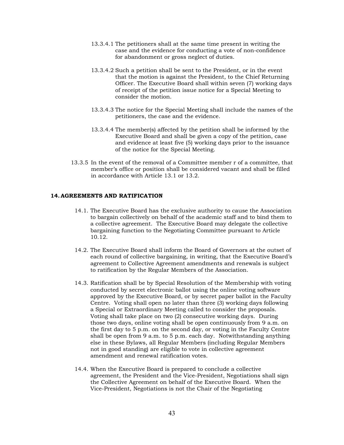- 13.3.4.1 The petitioners shall at the same time present in writing the case and the evidence for conducting a vote of non-confidence for abandonment or gross neglect of duties.
- 13.3.4.2 Such a petition shall be sent to the President, or in the event that the motion is against the President, to the Chief Returning Officer. The Executive Board shall within seven (7) working days of receipt of the petition issue notice for a Special Meeting to consider the motion.
- 13.3.4.3 The notice for the Special Meeting shall include the names of the petitioners, the case and the evidence.
- <span id="page-42-0"></span>13.3.4.4 The member(s) affected by the petition shall be informed by the Executive Board and shall be given a copy of the petition, case and evidence at least five (5) working days prior to the issuance of the notice for the Special Meeting.
- 13.3.5 In the event of the removal of a Committee member r of a committee, that member's office or position shall be considered vacant and shall be filled in accordance with Article 13.1 or 13.2.

#### **14.AGREEMENTS AND RATIFICATION**

- 14.1. The Executive Board has the exclusive authority to cause the Association to bargain collectively on behalf of the academic staff and to bind them to a collective agreement. The Executive Board may delegate the collective bargaining function to the Negotiating Committee pursuant to Article 10.12.
- 14.2. The Executive Board shall inform the Board of Governors at the outset of each round of collective bargaining, in writing, that the Executive Board's agreement to Collective Agreement amendments and renewals is subject to ratification by the Regular Members of the Association.
- 14.3. Ratification shall be by Special Resolution of the Membership with voting conducted by secret electronic ballot using the online voting software approved by the Executive Board, or by secret paper ballot in the Faculty Centre. Voting shall open no later than three (3) working days following a Special or Extraordinary Meeting called to consider the proposals. Voting shall take place on two (2) consecutive working days. During those two days, online voting shall be open continuously from 9 a.m. on the first day to 5 p.m. on the second day, or voting in the Faculty Centre shall be open from 9 a.m. to 5 p.m. each day. Notwithstanding anything else in these Bylaws, all Regular Members (including Regular Members not in good standing) are eligible to vote in collective agreement amendment and renewal ratification votes.
- 14.4. When the Executive Board is prepared to conclude a collective agreement, the President and the Vice-President, Negotiations shall sign the Collective Agreement on behalf of the Executive Board. When the Vice-President, Negotiations is not the Chair of the Negotiating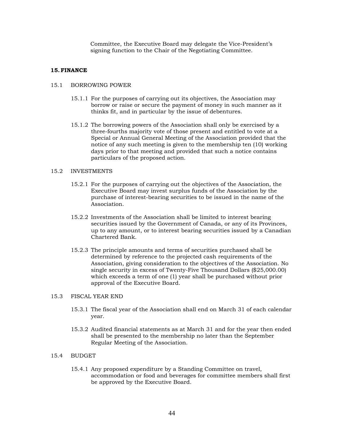Committee, the Executive Board may delegate the Vice-President's signing function to the Chair of the Negotiating Committee.

## <span id="page-43-0"></span>**15.FINANCE**

#### 15.1 BORROWING POWER

- 15.1.1 For the purposes of carrying out its objectives, the Association may borrow or raise or secure the payment of money in such manner as it thinks fit, and in particular by the issue of debentures.
- 15.1.2 The borrowing powers of the Association shall only be exercised by a three-fourths majority vote of those present and entitled to vote at a Special or Annual General Meeting of the Association provided that the notice of any such meeting is given to the membership ten (10) working days prior to that meeting and provided that such a notice contains particulars of the proposed action.

#### 15.2 INVESTMENTS

- 15.2.1 For the purposes of carrying out the objectives of the Association, the Executive Board may invest surplus funds of the Association by the purchase of interest-bearing securities to be issued in the name of the Association.
- 15.2.2 Investments of the Association shall be limited to interest bearing securities issued by the Government of Canada, or any of its Provinces, up to any amount, or to interest bearing securities issued by a Canadian Chartered Bank.
- 15.2.3 The principle amounts and terms of securities purchased shall be determined by reference to the projected cash requirements of the Association, giving consideration to the objectives of the Association. No single security in excess of Twenty-Five Thousand Dollars (\$25,000.00) which exceeds a term of one (1) year shall be purchased without prior approval of the Executive Board.

## 15.3 FISCAL YEAR END

- 15.3.1 The fiscal year of the Association shall end on March 31 of each calendar year.
- 15.3.2 Audited financial statements as at March 31 and for the year then ended shall be presented to the membership no later than the September Regular Meeting of the Association.

## 15.4 BUDGET

15.4.1 Any proposed expenditure by a Standing Committee on travel, accommodation or food and beverages for committee members shall first be approved by the Executive Board.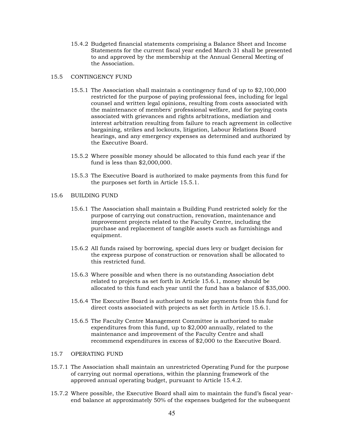15.4.2 Budgeted financial statements comprising a Balance Sheet and Income Statements for the current fiscal year ended March 31 shall be presented to and approved by the membership at the Annual General Meeting of the Association.

#### 15.5 CONTINGENCY FUND

- 15.5.1 The Association shall maintain a contingency fund of up to \$2,100,000 restricted for the purpose of paying professional fees, including for legal counsel and written legal opinions, resulting from costs associated with the maintenance of members' professional welfare, and for paying costs associated with grievances and rights arbitrations, mediation and interest arbitration resulting from failure to reach agreement in collective bargaining, strikes and lockouts, litigation, Labour Relations Board hearings, and any emergency expenses as determined and authorized by the Executive Board.
- 15.5.2 Where possible money should be allocated to this fund each year if the fund is less than \$2,000,000.
- 15.5.3 The Executive Board is authorized to make payments from this fund for the purposes set forth in Article 15.5.1.
- 15.6 BUILDING FUND
	- 15.6.1 The Association shall maintain a Building Fund restricted solely for the purpose of carrying out construction, renovation, maintenance and improvement projects related to the Faculty Centre, including the purchase and replacement of tangible assets such as furnishings and equipment.
	- 15.6.2 All funds raised by borrowing, special dues levy or budget decision for the express purpose of construction or renovation shall be allocated to this restricted fund.
	- 15.6.3 Where possible and when there is no outstanding Association debt related to projects as set forth in Article 15.6.1, money should be allocated to this fund each year until the fund has a balance of \$35,000.
	- 15.6.4 The Executive Board is authorized to make payments from this fund for direct costs associated with projects as set forth in Article 15.6.1.
	- 15.6.5 The Faculty Centre Management Committee is authorized to make expenditures from this fund, up to \$2,000 annually, related to the maintenance and improvement of the Faculty Centre and shall recommend expenditures in excess of \$2,000 to the Executive Board.

### 15.7 OPERATING FUND

- 15.7.1 The Association shall maintain an unrestricted Operating Fund for the purpose of carrying out normal operations, within the planning framework of the approved annual operating budget, pursuant to Article 15.4.2.
- 15.7.2 Where possible, the Executive Board shall aim to maintain the fund's fiscal yearend balance at approximately 50% of the expenses budgeted for the subsequent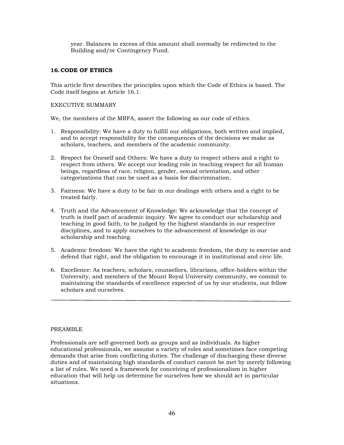year. Balances in excess of this amount shall normally be redirected to the Building and/or Contingency Fund.

## <span id="page-45-0"></span>**16.CODE OF ETHICS**

This article first describes the principles upon which the Code of Ethics is based. The Code itself begins at Article 16.1.

## EXECUTIVE SUMMARY

We, the members of the MRFA, assert the following as our code of ethics.

- 1. Responsibility: We have a duty to fulfill our obligations, both written and implied, and to accept responsibility for the consequences of the decisions we make as scholars, teachers, and members of the academic community.
- 2. Respect for Oneself and Others: We have a duty to respect others and a right to respect from others. We accept our leading role in teaching respect for all human beings, regardless of race, religion, gender, sexual orientation, and other categorizations that can be used as a basis for discrimination.
- 3. Fairness: We have a duty to be fair in our dealings with others and a right to be treated fairly.
- 4. Truth and the Advancement of Knowledge: We acknowledge that the concept of truth is itself part of academic inquiry. We agree to conduct our scholarship and teaching in good faith, to be judged by the highest standards in our respective disciplines, and to apply ourselves to the advancement of knowledge in our scholarship and teaching.
- 5. Academic freedom: We have the right to academic freedom, the duty to exercise and defend that right, and the obligation to encourage it in institutional and civic life.
- 6. Excellence: As teachers, scholars, counsellors, librarians, office-holders within the University, and members of the Mount Royal University community, we commit to maintaining the standards of excellence expected of us by our students, our fellow scholars and ourselves.

#### PREAMBLE

Professionals are self-governed both as groups and as individuals. As higher educational professionals, we assume a variety of roles and sometimes face competing demands that arise from conflicting duties. The challenge of discharging these diverse duties and of maintaining high standards of conduct cannot be met by merely following a list of rules. We need a framework for conceiving of professionalism in higher education that will help us determine for ourselves how we should act in particular situations.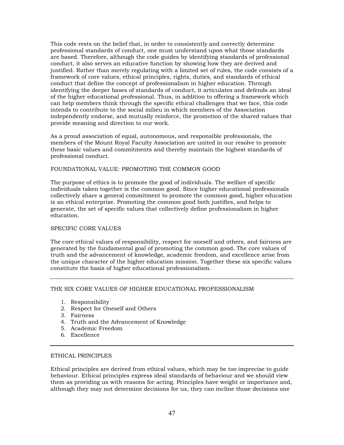This code rests on the belief that, in order to consistently and correctly determine professional standards of conduct, one must understand upon what those standards are based. Therefore, although the code guides by identifying standards of professional conduct, it also serves an educative function by showing how they are derived and justified. Rather than merely regulating with a limited set of rules, the code consists of a framework of core values, ethical principles, rights, duties, and standards of ethical conduct that define the concept of professionalism in higher education. Through identifying the deeper bases of standards of conduct, it articulates and defends an ideal of the higher educational professional. Thus, in addition to offering a framework which can help members think through the specific ethical challenges that we face, this code intends to contribute to the social milieu in which members of the Association independently endorse, and mutually reinforce, the promotion of the shared values that provide meaning and direction to our work.

As a proud association of equal, autonomous, and responsible professionals, the members of the Mount Royal Faculty Association are united in our resolve to promote these basic values and commitments and thereby maintain the highest standards of professional conduct.

#### FOUNDATIONAL VALUE: PROMOTING THE COMMON GOOD

The purpose of ethics is to promote the good of individuals. The welfare of specific individuals taken together is the common good. Since higher educational professionals collectively share a general commitment to promote the common good, higher education is an ethical enterprise. Promoting the common good both justifies, and helps to generate, the set of specific values that collectively define professionalism in higher education.

## SPECIFIC CORE VALUES

The core ethical values of responsibility, respect for oneself and others, and fairness are generated by the fundamental goal of promoting the common good. The core values of truth and the advancement of knowledge, academic freedom, and excellence arise from the unique character of the higher education mission. Together these six specific values constitute the basis of higher educational professionalism.

## THE SIX CORE VALUES OF HIGHER EDUCATIONAL PROFESSIONALISM

- 1. Responsibility
- 2. Respect for Oneself and Others
- 3. Fairness
- 4. Truth and the Advancement of Knowledge
- 5. Academic Freedom
- 6. Excellence

## ETHICAL PRINCIPLES

Ethical principles are derived from ethical values, which may be too imprecise to guide behaviour. Ethical principles express ideal standards of behaviour and we should view them as providing us with reasons for acting. Principles have weight or importance and, although they may not determine decisions for us, they can incline those decisions one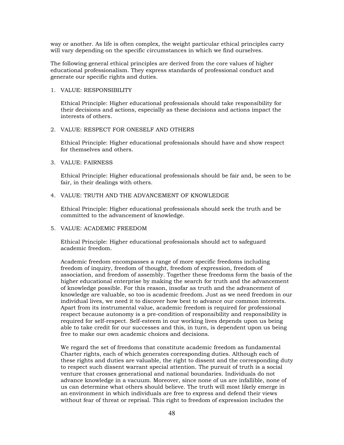way or another. As life is often complex, the weight particular ethical principles carry will vary depending on the specific circumstances in which we find ourselves.

The following general ethical principles are derived from the core values of higher educational professionalism. They express standards of professional conduct and generate our specific rights and duties.

## 1. VALUE: RESPONSIBILITY

Ethical Principle: Higher educational professionals should take responsibility for their decisions and actions, especially as these decisions and actions impact the interests of others.

## 2. VALUE: RESPECT FOR ONESELF AND OTHERS

Ethical Principle: Higher educational professionals should have and show respect for themselves and others.

#### 3. VALUE: FAIRNESS

Ethical Principle: Higher educational professionals should be fair and, be seen to be fair, in their dealings with others.

#### 4. VALUE: TRUTH AND THE ADVANCEMENT OF KNOWLEDGE

Ethical Principle: Higher educational professionals should seek the truth and be committed to the advancement of knowledge.

## 5. VALUE: ACADEMIC FREEDOM

Ethical Principle: Higher educational professionals should act to safeguard academic freedom.

Academic freedom encompasses a range of more specific freedoms including freedom of inquiry, freedom of thought, freedom of expression, freedom of association, and freedom of assembly. Together these freedoms form the basis of the higher educational enterprise by making the search for truth and the advancement of knowledge possible. For this reason, insofar as truth and the advancement of knowledge are valuable, so too is academic freedom. Just as we need freedom in our individual lives, we need it to discover how best to advance our common interests. Apart from its instrumental value, academic freedom is required for professional respect because autonomy is a pre-condition of responsibility and responsibility is required for self-respect. Self-esteem in our working lives depends upon us being able to take credit for our successes and this, in turn, is dependent upon us being free to make our own academic choices and decisions.

We regard the set of freedoms that constitute academic freedom as fundamental Charter rights, each of which generates corresponding duties. Although each of these rights and duties are valuable, the right to dissent and the corresponding duty to respect such dissent warrant special attention. The pursuit of truth is a social venture that crosses generational and national boundaries. Individuals do not advance knowledge in a vacuum. Moreover, since none of us are infallible, none of us can determine what others should believe. The truth will most likely emerge in an environment in which individuals are free to express and defend their views without fear of threat or reprisal. This right to freedom of expression includes the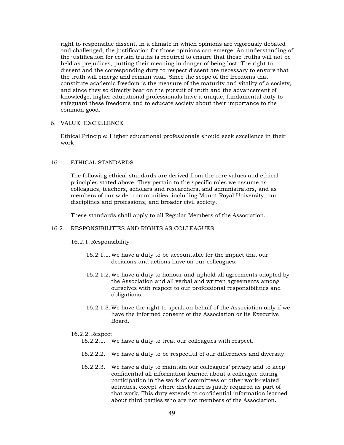right to responsible dissent. In a climate in which opinions are vigorously debated and challenged, the justification for those opinions can emerge. An understanding of the justification for certain truths is required to ensure that those truths will not be held as prejudices, putting their meaning in danger of being lost. The right to dissent and the corresponding duty to respect dissent are necessary to ensure that the truth will emerge and remain vital. Since the scope of the freedoms that constitute academic freedom is the measure of the maturity and vitality of a society, and since they so directly bear on the pursuit of truth and the advancement of knowledge, higher educational professionals have a unique, fundamental duty to safeguard these freedoms and to educate society about their importance to the common good.

6. VALUE: EXCELLENCE

Ethical Principle: Higher educational professionals should seek excellence in their work.

## 16.1. ETHICAL STANDARDS

The following ethical standards are derived from the core values and ethical principles stated above. They pertain to the specific roles we assume as colleagues, teachers, scholars and researchers, and administrators, and as members of our wider communities, including Mount Royal University, our disciplines and professions, and broader civil society.

These standards shall apply to all Regular Members of the Association.

## 16.2. RESPONSIBILITIES AND RIGHTS AS COLLEAGUES

## 16.2.1. Responsibility

- 16.2.1.1.We have a duty to be accountable for the impact that our decisions and actions have on our colleagues.
- 16.2.1.2.We have a duty to honour and uphold all agreements adopted by the Association and all verbal and written agreements among ourselves with respect to our professional responsibilities and obligations.
- 16.2.1.3.We have the right to speak on behalf of the Association only if we have the informed consent of the Association or its Executive Board.

## 16.2.2. Respect

- 16.2.2.1. We have a duty to treat our colleagues with respect.
- 16.2.2.2. We have a duty to be respectful of our differences and diversity.
- 16.2.2.3. We have a duty to maintain our colleagues' privacy and to keep confidential all information learned about a colleague during participation in the work of committees or other work-related activities, except where disclosure is justly required as part of that work. This duty extends to confidential information learned about third parties who are not members of the Association.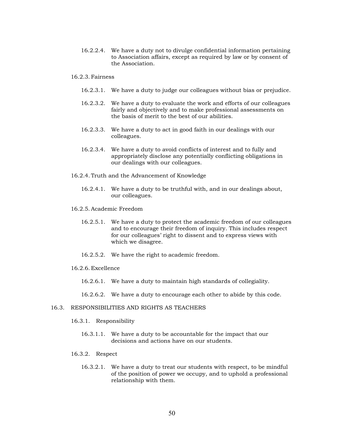16.2.2.4. We have a duty not to divulge confidential information pertaining to Association affairs, except as required by law or by consent of the Association.

#### 16.2.3. Fairness

- 16.2.3.1. We have a duty to judge our colleagues without bias or prejudice.
- 16.2.3.2. We have a duty to evaluate the work and efforts of our colleagues fairly and objectively and to make professional assessments on the basis of merit to the best of our abilities.
- 16.2.3.3. We have a duty to act in good faith in our dealings with our colleagues.
- 16.2.3.4. We have a duty to avoid conflicts of interest and to fully and appropriately disclose any potentially conflicting obligations in our dealings with our colleagues.
- 16.2.4. Truth and the Advancement of Knowledge
	- 16.2.4.1. We have a duty to be truthful with, and in our dealings about, our colleagues.
- 16.2.5. Academic Freedom
	- 16.2.5.1. We have a duty to protect the academic freedom of our colleagues and to encourage their freedom of inquiry. This includes respect for our colleagues' right to dissent and to express views with which we disagree.
	- 16.2.5.2. We have the right to academic freedom.
- 16.2.6. Excellence
	- 16.2.6.1. We have a duty to maintain high standards of collegiality.
	- 16.2.6.2. We have a duty to encourage each other to abide by this code.

#### 16.3. RESPONSIBILITIES AND RIGHTS AS TEACHERS

- 16.3.1. Responsibility
	- 16.3.1.1. We have a duty to be accountable for the impact that our decisions and actions have on our students.
- 16.3.2. Respect
	- 16.3.2.1. We have a duty to treat our students with respect, to be mindful of the position of power we occupy, and to uphold a professional relationship with them.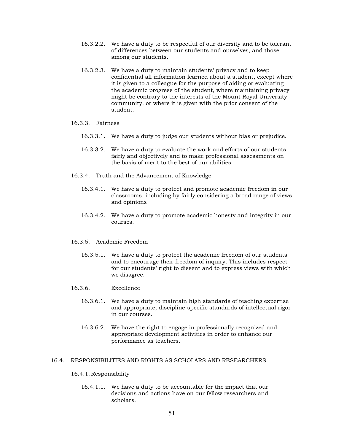- 16.3.2.2. We have a duty to be respectful of our diversity and to be tolerant of differences between our students and ourselves, and those among our students.
- 16.3.2.3. We have a duty to maintain students' privacy and to keep confidential all information learned about a student, except where it is given to a colleague for the purpose of aiding or evaluating the academic progress of the student, where maintaining privacy might be contrary to the interests of the Mount Royal University community, or where it is given with the prior consent of the student.

#### 16.3.3. Fairness

- 16.3.3.1. We have a duty to judge our students without bias or prejudice.
- 16.3.3.2. We have a duty to evaluate the work and efforts of our students fairly and objectively and to make professional assessments on the basis of merit to the best of our abilities.
- 16.3.4. Truth and the Advancement of Knowledge
	- 16.3.4.1. We have a duty to protect and promote academic freedom in our classrooms, including by fairly considering a broad range of views and opinions
	- 16.3.4.2. We have a duty to promote academic honesty and integrity in our courses.
- 16.3.5. Academic Freedom
	- 16.3.5.1. We have a duty to protect the academic freedom of our students and to encourage their freedom of inquiry. This includes respect for our students' right to dissent and to express views with which we disagree.
- 16.3.6. Excellence
	- 16.3.6.1. We have a duty to maintain high standards of teaching expertise and appropriate, discipline-specific standards of intellectual rigor in our courses.
	- 16.3.6.2. We have the right to engage in professionally recognized and appropriate development activities in order to enhance our performance as teachers.

#### 16.4. RESPONSIBILITIES AND RIGHTS AS SCHOLARS AND RESEARCHERS

#### 16.4.1. Responsibility

16.4.1.1. We have a duty to be accountable for the impact that our decisions and actions have on our fellow researchers and scholars.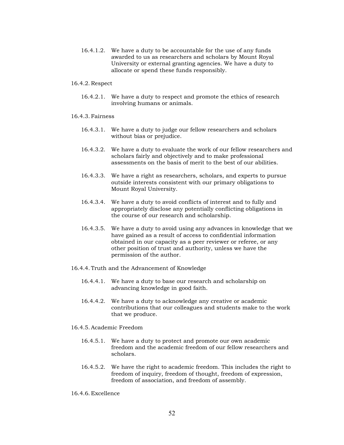- 16.4.1.2. We have a duty to be accountable for the use of any funds awarded to us as researchers and scholars by Mount Royal University or external granting agencies. We have a duty to allocate or spend these funds responsibly.
- 16.4.2. Respect
	- 16.4.2.1. We have a duty to respect and promote the ethics of research involving humans or animals.
- 16.4.3. Fairness
	- 16.4.3.1. We have a duty to judge our fellow researchers and scholars without bias or prejudice.
	- 16.4.3.2. We have a duty to evaluate the work of our fellow researchers and scholars fairly and objectively and to make professional assessments on the basis of merit to the best of our abilities.
	- 16.4.3.3. We have a right as researchers, scholars, and experts to pursue outside interests consistent with our primary obligations to Mount Royal University.
	- 16.4.3.4. We have a duty to avoid conflicts of interest and to fully and appropriately disclose any potentially conflicting obligations in the course of our research and scholarship.
	- 16.4.3.5. We have a duty to avoid using any advances in knowledge that we have gained as a result of access to confidential information obtained in our capacity as a peer reviewer or referee, or any other position of trust and authority, unless we have the permission of the author.
- 16.4.4. Truth and the Advancement of Knowledge
	- 16.4.4.1. We have a duty to base our research and scholarship on advancing knowledge in good faith.
	- 16.4.4.2. We have a duty to acknowledge any creative or academic contributions that our colleagues and students make to the work that we produce.
- 16.4.5. Academic Freedom
	- 16.4.5.1. We have a duty to protect and promote our own academic freedom and the academic freedom of our fellow researchers and scholars.
	- 16.4.5.2. We have the right to academic freedom. This includes the right to freedom of inquiry, freedom of thought, freedom of expression, freedom of association, and freedom of assembly.
- 16.4.6. Excellence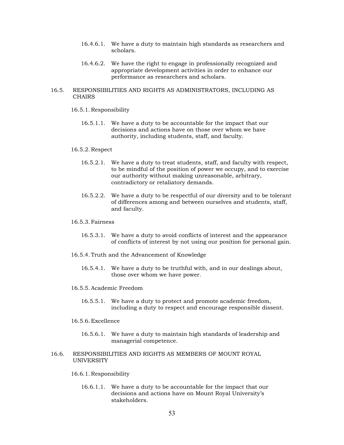- 16.4.6.1. We have a duty to maintain high standards as researchers and scholars.
- 16.4.6.2. We have the right to engage in professionally recognized and appropriate development activities in order to enhance our performance as researchers and scholars.
- 16.5. RESPONSIBILITIES AND RIGHTS AS ADMINISTRATORS, INCLUDING AS CHAIRS
	- 16.5.1. Responsibility
		- 16.5.1.1. We have a duty to be accountable for the impact that our decisions and actions have on those over whom we have authority, including students, staff, and faculty.

#### 16.5.2. Respect

- 16.5.2.1. We have a duty to treat students, staff, and faculty with respect, to be mindful of the position of power we occupy, and to exercise our authority without making unreasonable, arbitrary, contradictory or retaliatory demands.
- 16.5.2.2. We have a duty to be respectful of our diversity and to be tolerant of differences among and between ourselves and students, staff, and faculty.

### 16.5.3. Fairness

- 16.5.3.1. We have a duty to avoid conflicts of interest and the appearance of conflicts of interest by not using our position for personal gain.
- 16.5.4. Truth and the Advancement of Knowledge
	- 16.5.4.1. We have a duty to be truthful with, and in our dealings about, those over whom we have power.

## 16.5.5. Academic Freedom

16.5.5.1. We have a duty to protect and promote academic freedom, including a duty to respect and encourage responsible dissent.

#### 16.5.6. Excellence

- 16.5.6.1. We have a duty to maintain high standards of leadership and managerial competence.
- 16.6. RESPONSIBILITIES AND RIGHTS AS MEMBERS OF MOUNT ROYAL UNIVERSITY

#### 16.6.1. Responsibility

16.6.1.1. We have a duty to be accountable for the impact that our decisions and actions have on Mount Royal University's stakeholders.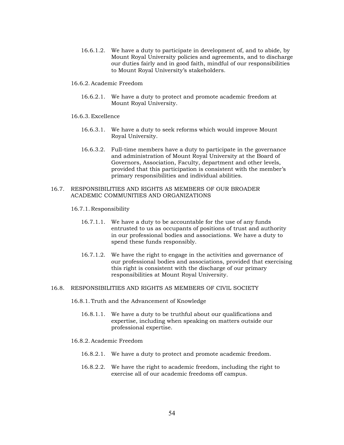- 16.6.1.2. We have a duty to participate in development of, and to abide, by Mount Royal University policies and agreements, and to discharge our duties fairly and in good faith, mindful of our responsibilities to Mount Royal University's stakeholders.
- 16.6.2. Academic Freedom
	- 16.6.2.1. We have a duty to protect and promote academic freedom at Mount Royal University.
- 16.6.3. Excellence
	- 16.6.3.1. We have a duty to seek reforms which would improve Mount Royal University.
	- 16.6.3.2. Full-time members have a duty to participate in the governance and administration of Mount Royal University at the Board of Governors, Association, Faculty, department and other levels, provided that this participation is consistent with the member's primary responsibilities and individual abilities.

## 16.7. RESPONSIBILITIES AND RIGHTS AS MEMBERS OF OUR BROADER ACADEMIC COMMUNITIES AND ORGANIZATIONS

- 16.7.1. Responsibility
	- 16.7.1.1. We have a duty to be accountable for the use of any funds entrusted to us as occupants of positions of trust and authority in our professional bodies and associations. We have a duty to spend these funds responsibly.
	- 16.7.1.2. We have the right to engage in the activities and governance of our professional bodies and associations, provided that exercising this right is consistent with the discharge of our primary responsibilities at Mount Royal University.

#### 16.8. RESPONSIBILITIES AND RIGHTS AS MEMBERS OF CIVIL SOCIETY

- 16.8.1. Truth and the Advancement of Knowledge
	- 16.8.1.1. We have a duty to be truthful about our qualifications and expertise, including when speaking on matters outside our professional expertise.
- 16.8.2. Academic Freedom
	- 16.8.2.1. We have a duty to protect and promote academic freedom.
	- 16.8.2.2. We have the right to academic freedom, including the right to exercise all of our academic freedoms off campus.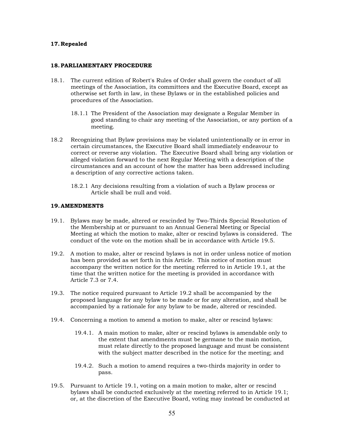## <span id="page-54-0"></span>**17.Repealed**

#### <span id="page-54-1"></span>**18.PARLIAMENTARY PROCEDURE**

- 18.1. The current edition of Robert's Rules of Order shall govern the conduct of all meetings of the Association, its committees and the Executive Board, except as otherwise set forth in law, in these Bylaws or in the established policies and procedures of the Association.
	- 18.1.1 The President of the Association may designate a Regular Member in good standing to chair any meeting of the Association, or any portion of a meeting.
- 18.2 Recognizing that Bylaw provisions may be violated unintentionally or in error in certain circumstances, the Executive Board shall immediately endeavour to correct or reverse any violation. The Executive Board shall bring any violation or alleged violation forward to the next Regular Meeting with a description of the circumstances and an account of how the matter has been addressed including a description of any corrective actions taken.
	- 18.2.1 Any decisions resulting from a violation of such a Bylaw process or Article shall be null and void.

#### <span id="page-54-2"></span>**19.AMENDMENTS**

- 19.1. Bylaws may be made, altered or rescinded by Two-Thirds Special Resolution of the Membership at or pursuant to an Annual General Meeting or Special Meeting at which the motion to make, alter or rescind bylaws is considered. The conduct of the vote on the motion shall be in accordance with Article 19.5.
- 19.2. A motion to make, alter or rescind bylaws is not in order unless notice of motion has been provided as set forth in this Article. This notice of motion must accompany the written notice for the meeting referred to in Article 19.1, at the time that the written notice for the meeting is provided in accordance with Article 7.3 or 7.4.
- 19.3. The notice required pursuant to Article 19.2 shall be accompanied by the proposed language for any bylaw to be made or for any alteration, and shall be accompanied by a rationale for any bylaw to be made, altered or rescinded.
- 19.4. Concerning a motion to amend a motion to make, alter or rescind bylaws:
	- 19.4.1. A main motion to make, alter or rescind bylaws is amendable only to the extent that amendments must be germane to the main motion, must relate directly to the proposed language and must be consistent with the subject matter described in the notice for the meeting; and
	- 19.4.2. Such a motion to amend requires a two-thirds majority in order to pass.
- 19.5. Pursuant to Article 19.1, voting on a main motion to make, alter or rescind bylaws shall be conducted exclusively at the meeting referred to in Article 19.1; or, at the discretion of the Executive Board, voting may instead be conducted at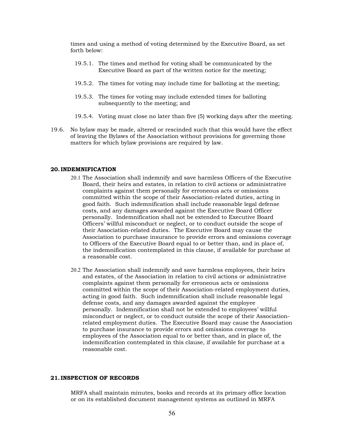times and using a method of voting determined by the Executive Board, as set forth below:

- 19.5.1. The times and method for voting shall be communicated by the Executive Board as part of the written notice for the meeting;
- 19.5.2. The times for voting may include time for balloting at the meeting;
- 19.5.3. The times for voting may include extended times for balloting subsequently to the meeting; and
- 19.5.4. Voting must close no later than five (5) working days after the meeting.
- 19.6. No bylaw may be made, altered or rescinded such that this would have the effect of leaving the Bylaws of the Association without provisions for governing those matters for which bylaw provisions are required by law.

#### <span id="page-55-0"></span>**20. INDEMNIFICATION**

- 20.1 The Association shall indemnify and save harmless Officers of the Executive Board, their heirs and estates, in relation to civil actions or administrative complaints against them personally for erroneous acts or omissions committed within the scope of their Association-related duties, acting in good faith. Such indemnification shall include reasonable legal defense costs, and any damages awarded against the Executive Board Officer personally. Indemnification shall not be extended to Executive Board Officers' willful misconduct or neglect, or to conduct outside the scope of their Association-related duties. The Executive Board may cause the Association to purchase insurance to provide errors and omissions coverage to Officers of the Executive Board equal to or better than, and in place of, the indemnification contemplated in this clause, if available for purchase at a reasonable cost.
- 20.2 The Association shall indemnify and save harmless employees, their heirs and estates, of the Association in relation to civil actions or administrative complaints against them personally for erroneous acts or omissions committed within the scope of their Association-related employment duties, acting in good faith. Such indemnification shall include reasonable legal defense costs, and any damages awarded against the employee personally. Indemnification shall not be extended to employees' willful misconduct or neglect, or to conduct outside the scope of their Associationrelated employment duties. The Executive Board may cause the Association to purchase insurance to provide errors and omissions coverage to employees of the Association equal to or better than, and in place of, the indemnification contemplated in this clause, if available for purchase at a reasonable cost.

## <span id="page-55-1"></span>**21. INSPECTION OF RECORDS**

MRFA shall maintain minutes, books and records at its primary office location or on its established document management systems as outlined in MRFA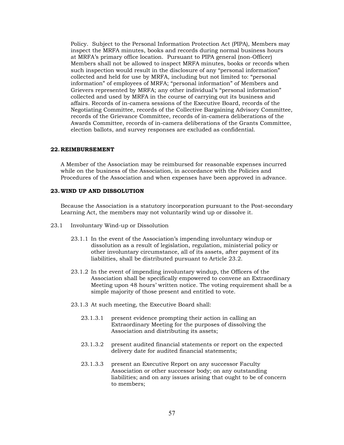Policy. Subject to the Personal Information Protection Act (PIPA), Members may inspect the MRFA minutes, books and records during normal business hours at MRFA's primary office location. Pursuant to PIPA general (non-Officer) Members shall not be allowed to inspect MRFA minutes, books or records when such inspection would result in the disclosure of any "personal information" collected and held for use by MRFA, including but not limited to: "personal information" of employees of MRFA; "personal information" of Members and Grievers represented by MRFA; any other individual's "personal information" collected and used by MRFA in the course of carrying out its business and affairs. Records of in-camera sessions of the Executive Board, records of the Negotiating Committee, records of the Collective Bargaining Advisory Committee, records of the Grievance Committee, records of in-camera deliberations of the Awards Committee, records of in-camera deliberations of the Grants Committee, election ballots, and survey responses are excluded as confidential.

#### <span id="page-56-0"></span>**22.REIMBURSEMENT**

A Member of the Association may be reimbursed for reasonable expenses incurred while on the business of the Association, in accordance with the Policies and Procedures of the Association and when expenses have been approved in advance.

#### <span id="page-56-1"></span>**23.WIND UP AND DISSOLUTION**

Because the Association is a statutory incorporation pursuant to the Post-secondary Learning Act, the members may not voluntarily wind up or dissolve it.

- 23.1 Involuntary Wind-up or Dissolution
	- 23.1.1 In the event of the Association's impending involuntary windup or dissolution as a result of legislation, regulation, ministerial policy or other involuntary circumstance, all of its assets, after payment of its liabilities, shall be distributed pursuant to Article 23.2.
	- 23.1.2 In the event of impending involuntary windup, the Officers of the Association shall be specifically empowered to convene an Extraordinary Meeting upon 48 hours' written notice. The voting requirement shall be a simple majority of those present and entitled to vote.
	- 23.1.3 At such meeting, the Executive Board shall:
		- 23.1.3.1 present evidence prompting their action in calling an Extraordinary Meeting for the purposes of dissolving the Association and distributing its assets;
		- 23.1.3.2 present audited financial statements or report on the expected delivery date for audited financial statements;
		- 23.1.3.3 present an Executive Report on any successor Faculty Association or other successor body; on any outstanding liabilities; and on any issues arising that ought to be of concern to members;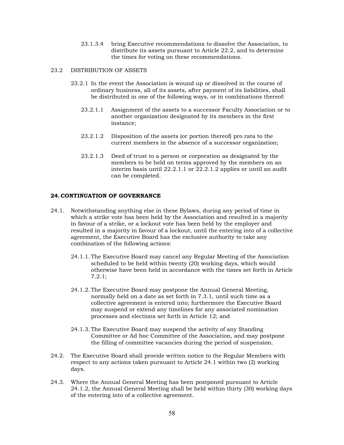23.1.3.4 bring Executive recommendations to dissolve the Association, to distribute its assets pursuant to Article 22.2, and to determine the times for voting on these recommendations.

### 23.2 DISTRIBUTION OF ASSETS

- 23.2.1 In the event the Association is wound up or dissolved in the course of ordinary business, all of its assets, after payment of its liabilities, shall be distributed in one of the following ways, or in combinations thereof:
	- 23.2.1.1 Assignment of the assets to a successor Faculty Association or to another organization designated by its members in the first instance;
	- 23.2.1.2 Disposition of the assets (or portion thereof) pro rata to the current members in the absence of a successor organization;
	- 23.2.1.3 Deed of trust to a person or corporation as designated by the members to be held on terms approved by the members on an interim basis until 22.2.1.1 or 22.2.1.2 applies or until an audit can be completed.

## <span id="page-57-0"></span>**24.CONTINUATION OF GOVERNANCE**

- 24.1. Notwithstanding anything else in these Bylaws, during any period of time in which a strike vote has been held by the Association and resulted in a majority in favour of a strike, or a lockout vote has been held by the employer and resulted in a majority in favour of a lockout, until the entering into of a collective agreement, the Executive Board has the exclusive authority to take any combination of the following actions:
	- 24.1.1. The Executive Board may cancel any Regular Meeting of the Association scheduled to be held within twenty (20) working days, which would otherwise have been held in accordance with the times set forth in Article 7.2.1;
	- 24.1.2. The Executive Board may postpone the Annual General Meeting, normally held on a date as set forth in 7.3.1, until such time as a collective agreement is entered into; furthermore the Executive Board may suspend or extend any timelines for any associated nomination processes and elections set forth in Article 12; and
	- 24.1.3. The Executive Board may suspend the activity of any Standing Committee or Ad hoc Committee of the Association, and may postpone the filling of committee vacancies during the period of suspension.
- 24.2. The Executive Board shall provide written notice to the Regular Members with respect to any actions taken pursuant to Article 24.1 within two (2) working days.
- 24.3. Where the Annual General Meeting has been postponed pursuant to Article 24.1.2, the Annual General Meeting shall be held within thirty (30) working days of the entering into of a collective agreement.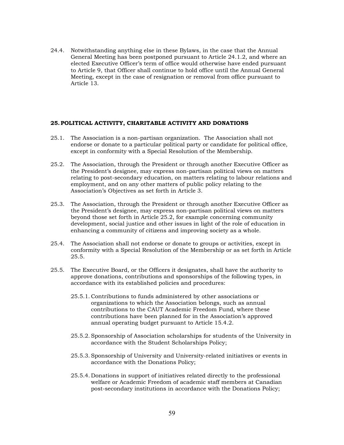24.4. Notwithstanding anything else in these Bylaws, in the case that the Annual General Meeting has been postponed pursuant to Article 24.1.2, and where an elected Executive Officer's term of office would otherwise have ended pursuant to Article 9, that Officer shall continue to hold office until the Annual General Meeting, except in the case of resignation or removal from office pursuant to Article 13.

#### <span id="page-58-0"></span>**25.POLITICAL ACTIVITY, CHARITABLE ACTIVITY AND DONATIONS**

- 25.1. The Association is a non-partisan organization. The Association shall not endorse or donate to a particular political party or candidate for political office, except in conformity with a Special Resolution of the Membership.
- 25.2. The Association, through the President or through another Executive Officer as the President's designee, may express non-partisan political views on matters relating to post-secondary education, on matters relating to labour relations and employment, and on any other matters of public policy relating to the Association's Objectives as set forth in Article 3.
- 25.3. The Association, through the President or through another Executive Officer as the President's designee, may express non-partisan political views on matters beyond those set forth in Article 25.2, for example concerning community development, social justice and other issues in light of the role of education in enhancing a community of citizens and improving society as a whole.
- 25.4. The Association shall not endorse or donate to groups or activities, except in conformity with a Special Resolution of the Membership or as set forth in Article 25.5.
- 25.5. The Executive Board, or the Officers it designates, shall have the authority to approve donations, contributions and sponsorships of the following types, in accordance with its established policies and procedures:
	- 25.5.1. Contributions to funds administered by other associations or organizations to which the Association belongs, such as annual contributions to the CAUT Academic Freedom Fund, where these contributions have been planned for in the Association's approved annual operating budget pursuant to Article 15.4.2.
	- 25.5.2. Sponsorship of Association scholarships for students of the University in accordance with the Student Scholarships Policy;
	- 25.5.3. Sponsorship of University and University-related initiatives or events in accordance with the Donations Policy;
	- 25.5.4. Donations in support of initiatives related directly to the professional welfare or Academic Freedom of academic staff members at Canadian post-secondary institutions in accordance with the Donations Policy;